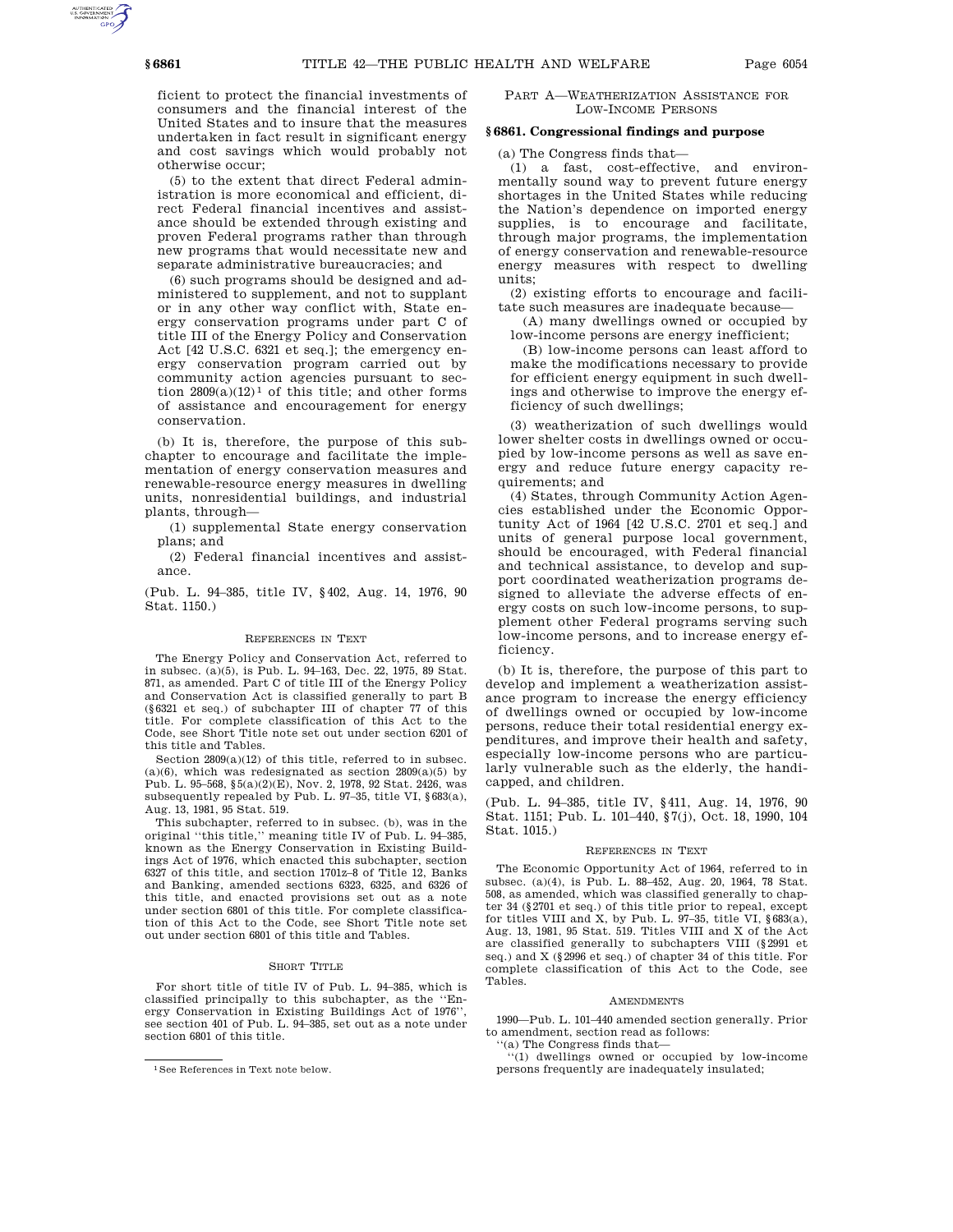ficient to protect the financial investments of consumers and the financial interest of the United States and to insure that the measures undertaken in fact result in significant energy and cost savings which would probably not otherwise occur;

(5) to the extent that direct Federal administration is more economical and efficient, direct Federal financial incentives and assistance should be extended through existing and proven Federal programs rather than through new programs that would necessitate new and separate administrative bureaucracies; and

(6) such programs should be designed and administered to supplement, and not to supplant or in any other way conflict with, State energy conservation programs under part C of title III of the Energy Policy and Conservation Act [42 U.S.C. 6321 et seq.]; the emergency energy conservation program carried out by community action agencies pursuant to section  $2809(a)(12)^1$  of this title; and other forms of assistance and encouragement for energy conservation.

(b) It is, therefore, the purpose of this subchapter to encourage and facilitate the implementation of energy conservation measures and renewable-resource energy measures in dwelling units, nonresidential buildings, and industrial plants, through—

(1) supplemental State energy conservation plans; and

(2) Federal financial incentives and assistance.

(Pub. L. 94–385, title IV, §402, Aug. 14, 1976, 90 Stat. 1150.)

### REFERENCES IN TEXT

The Energy Policy and Conservation Act, referred to in subsec. (a)(5), is Pub. L. 94–163, Dec. 22, 1975, 89 Stat. 871, as amended. Part C of title III of the Energy Policy and Conservation Act is classified generally to part B (§6321 et seq.) of subchapter III of chapter 77 of this title. For complete classification of this Act to the Code, see Short Title note set out under section 6201 of this title and Tables.

Section 2809(a)(12) of this title, referred to in subsec. (a)(6), which was redesignated as section  $2809(a)(5)$  by Pub. L. 95–568, §5(a)(2)(E), Nov. 2, 1978, 92 Stat. 2426, was subsequently repealed by Pub. L. 97–35, title VI, §683(a), Aug. 13, 1981, 95 Stat. 519.

This subchapter, referred to in subsec. (b), was in the original ''this title,'' meaning title IV of Pub. L. 94–385, known as the Energy Conservation in Existing Buildings Act of 1976, which enacted this subchapter, section 6327 of this title, and section 1701z–8 of Title 12, Banks and Banking, amended sections 6323, 6325, and 6326 of this title, and enacted provisions set out as a note under section 6801 of this title. For complete classification of this Act to the Code, see Short Title note set out under section 6801 of this title and Tables.

### SHORT TITLE

For short title of title IV of Pub. L. 94–385, which is classified principally to this subchapter, as the ''Energy Conservation in Existing Buildings Act of 1976'', see section 401 of Pub. L. 94–385, set out as a note under section 6801 of this title.

PART A—WEATHERIZATION ASSISTANCE FOR LOW-INCOME PERSONS

### **§ 6861. Congressional findings and purpose**

(a) The Congress finds that—

(1) a fast, cost-effective, and environmentally sound way to prevent future energy shortages in the United States while reducing the Nation's dependence on imported energy supplies, is to encourage and facilitate, through major programs, the implementation of energy conservation and renewable-resource energy measures with respect to dwelling units;

(2) existing efforts to encourage and facilitate such measures are inadequate because—

(A) many dwellings owned or occupied by low-income persons are energy inefficient;

(B) low-income persons can least afford to make the modifications necessary to provide for efficient energy equipment in such dwellings and otherwise to improve the energy efficiency of such dwellings;

(3) weatherization of such dwellings would lower shelter costs in dwellings owned or occupied by low-income persons as well as save energy and reduce future energy capacity requirements; and

(4) States, through Community Action Agencies established under the Economic Opportunity Act of 1964 [42 U.S.C. 2701 et seq.] and units of general purpose local government, should be encouraged, with Federal financial and technical assistance, to develop and support coordinated weatherization programs designed to alleviate the adverse effects of energy costs on such low-income persons, to supplement other Federal programs serving such low-income persons, and to increase energy efficiency.

(b) It is, therefore, the purpose of this part to develop and implement a weatherization assistance program to increase the energy efficiency of dwellings owned or occupied by low-income persons, reduce their total residential energy expenditures, and improve their health and safety, especially low-income persons who are particularly vulnerable such as the elderly, the handicapped, and children.

(Pub. L. 94–385, title IV, §411, Aug. 14, 1976, 90 Stat. 1151; Pub. L. 101–440, §7(j), Oct. 18, 1990, 104 Stat. 1015.)

#### REFERENCES IN TEXT

The Economic Opportunity Act of 1964, referred to in subsec. (a)(4), is Pub. L. 88–452, Aug. 20, 1964, 78 Stat. 508, as amended, which was classified generally to chapter 34 (§2701 et seq.) of this title prior to repeal, except for titles VIII and X, by Pub. L. 97–35, title VI, §683(a), Aug. 13, 1981, 95 Stat. 519. Titles VIII and X of the Act are classified generally to subchapters VIII (§2991 et seq.) and X (§2996 et seq.) of chapter 34 of this title. For complete classification of this Act to the Code, see Tables.

#### **AMENDMENTS**

1990—Pub. L. 101–440 amended section generally. Prior to amendment, section read as follows:

''(a) The Congress finds that—

''(1) dwellings owned or occupied by low-income persons frequently are inadequately insulated;

<sup>1</sup>See References in Text note below.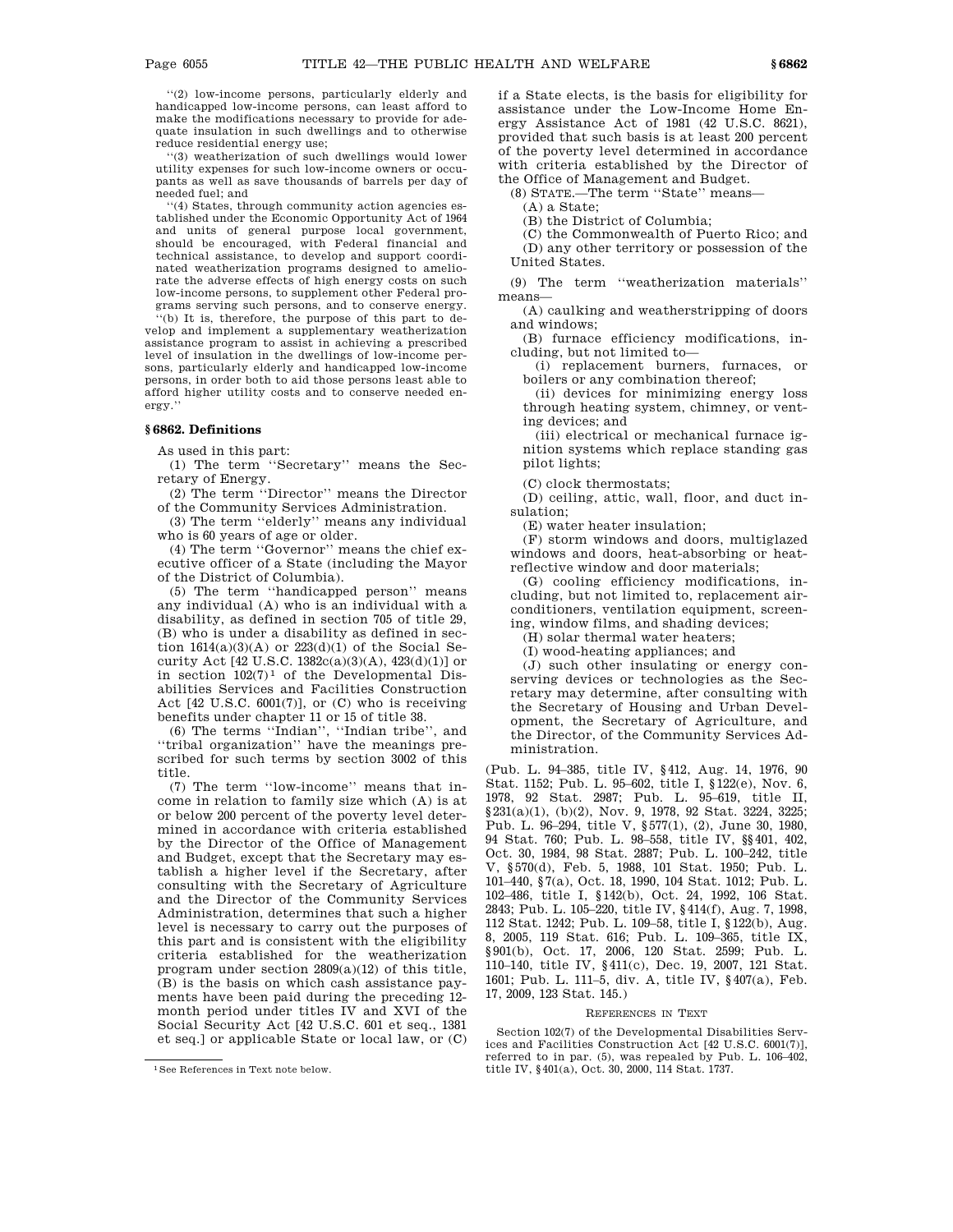''(2) low-income persons, particularly elderly and handicapped low-income persons, can least afford to make the modifications necessary to provide for adequate insulation in such dwellings and to otherwise reduce residential energy use;

'(3) weatherization of such dwellings would lower utility expenses for such low-income owners or occupants as well as save thousands of barrels per day of needed fuel; and

''(4) States, through community action agencies established under the Economic Opportunity Act of 1964 and units of general purpose local government, should be encouraged, with Federal financial and technical assistance, to develop and support coordinated weatherization programs designed to ameliorate the adverse effects of high energy costs on such low-income persons, to supplement other Federal programs serving such persons, and to conserve energy.

''(b) It is, therefore, the purpose of this part to develop and implement a supplementary weatherization assistance program to assist in achieving a prescribed level of insulation in the dwellings of low-income persons, particularly elderly and handicapped low-income persons, in order both to aid those persons least able to afford higher utility costs and to conserve needed energy.''

## **§ 6862. Definitions**

As used in this part:

(1) The term ''Secretary'' means the Secretary of Energy.

(2) The term ''Director'' means the Director of the Community Services Administration.

(3) The term ''elderly'' means any individual who is 60 years of age or older.

(4) The term ''Governor'' means the chief executive officer of a State (including the Mayor of the District of Columbia).

(5) The term ''handicapped person'' means any individual (A) who is an individual with a disability, as defined in section 705 of title 29, (B) who is under a disability as defined in section  $1614(a)(3)(A)$  or  $223(d)(1)$  of the Social Security Act [42 U.S.C. 1382c(a)(3)(A), 423(d)(1)] or in section  $102(7)^1$  of the Developmental Disabilities Services and Facilities Construction Act [42 U.S.C. 6001(7)], or (C) who is receiving benefits under chapter 11 or 15 of title 38.

(6) The terms ''Indian'', ''Indian tribe'', and ''tribal organization'' have the meanings prescribed for such terms by section 3002 of this title.

(7) The term ''low-income'' means that income in relation to family size which (A) is at or below 200 percent of the poverty level determined in accordance with criteria established by the Director of the Office of Management and Budget, except that the Secretary may establish a higher level if the Secretary, after consulting with the Secretary of Agriculture and the Director of the Community Services Administration, determines that such a higher level is necessary to carry out the purposes of this part and is consistent with the eligibility criteria established for the weatherization program under section 2809(a)(12) of this title, (B) is the basis on which cash assistance payments have been paid during the preceding 12 month period under titles IV and XVI of the Social Security Act [42 U.S.C. 601 et seq., 1381 et seq.] or applicable State or local law, or (C) if a State elects, is the basis for eligibility for assistance under the Low-Income Home Energy Assistance Act of 1981 (42 U.S.C. 8621), provided that such basis is at least 200 percent of the poverty level determined in accordance with criteria established by the Director of the Office of Management and Budget.

(8) STATE.—The term ''State'' means—

(A) a State;

(B) the District of Columbia;

(C) the Commonwealth of Puerto Rico; and (D) any other territory or possession of the United States.

(9) The term ''weatherization materials'' means—

(A) caulking and weatherstripping of doors and windows;

(B) furnace efficiency modifications, including, but not limited to—

(i) replacement burners, furnaces, or boilers or any combination thereof;

(ii) devices for minimizing energy loss through heating system, chimney, or venting devices; and

(iii) electrical or mechanical furnace ignition systems which replace standing gas pilot lights;

(C) clock thermostats;

(D) ceiling, attic, wall, floor, and duct insulation;

(E) water heater insulation;

(F) storm windows and doors, multiglazed windows and doors, heat-absorbing or heatreflective window and door materials;

(G) cooling efficiency modifications, including, but not limited to, replacement airconditioners, ventilation equipment, screening, window films, and shading devices;

(H) solar thermal water heaters;

(I) wood-heating appliances; and

(J) such other insulating or energy conserving devices or technologies as the Secretary may determine, after consulting with the Secretary of Housing and Urban Development, the Secretary of Agriculture, and the Director, of the Community Services Administration.

(Pub. L. 94–385, title IV, §412, Aug. 14, 1976, 90 Stat. 1152; Pub. L. 95–602, title I, §122(e), Nov. 6, 1978, 92 Stat. 2987; Pub. L. 95–619, title II, §231(a)(1), (b)(2), Nov. 9, 1978, 92 Stat. 3224, 3225; Pub. L. 96–294, title V, §577(1), (2), June 30, 1980, 94 Stat. 760; Pub. L. 98–558, title IV, §§401, 402, Oct. 30, 1984, 98 Stat. 2887; Pub. L. 100–242, title V, §570(d), Feb. 5, 1988, 101 Stat. 1950; Pub. L. 101–440, §7(a), Oct. 18, 1990, 104 Stat. 1012; Pub. L. 102–486, title I, §142(b), Oct. 24, 1992, 106 Stat. 2843; Pub. L. 105–220, title IV, §414(f), Aug. 7, 1998, 112 Stat. 1242; Pub. L. 109–58, title I, §122(b), Aug. 8, 2005, 119 Stat. 616; Pub. L. 109–365, title IX, §901(b), Oct. 17, 2006, 120 Stat. 2599; Pub. L. 110–140, title IV, §411(c), Dec. 19, 2007, 121 Stat. 1601; Pub. L. 111–5, div. A, title IV, §407(a), Feb. 17, 2009, 123 Stat. 145.)

### REFERENCES IN TEXT

Section 102(7) of the Developmental Disabilities Services and Facilities Construction Act [42 U.S.C. 6001(7)], referred to in par. (5), was repealed by Pub. L. 106–402, title IV, §401(a), Oct. 30, 2000, 114 Stat. 1737.

<sup>1</sup>See References in Text note below.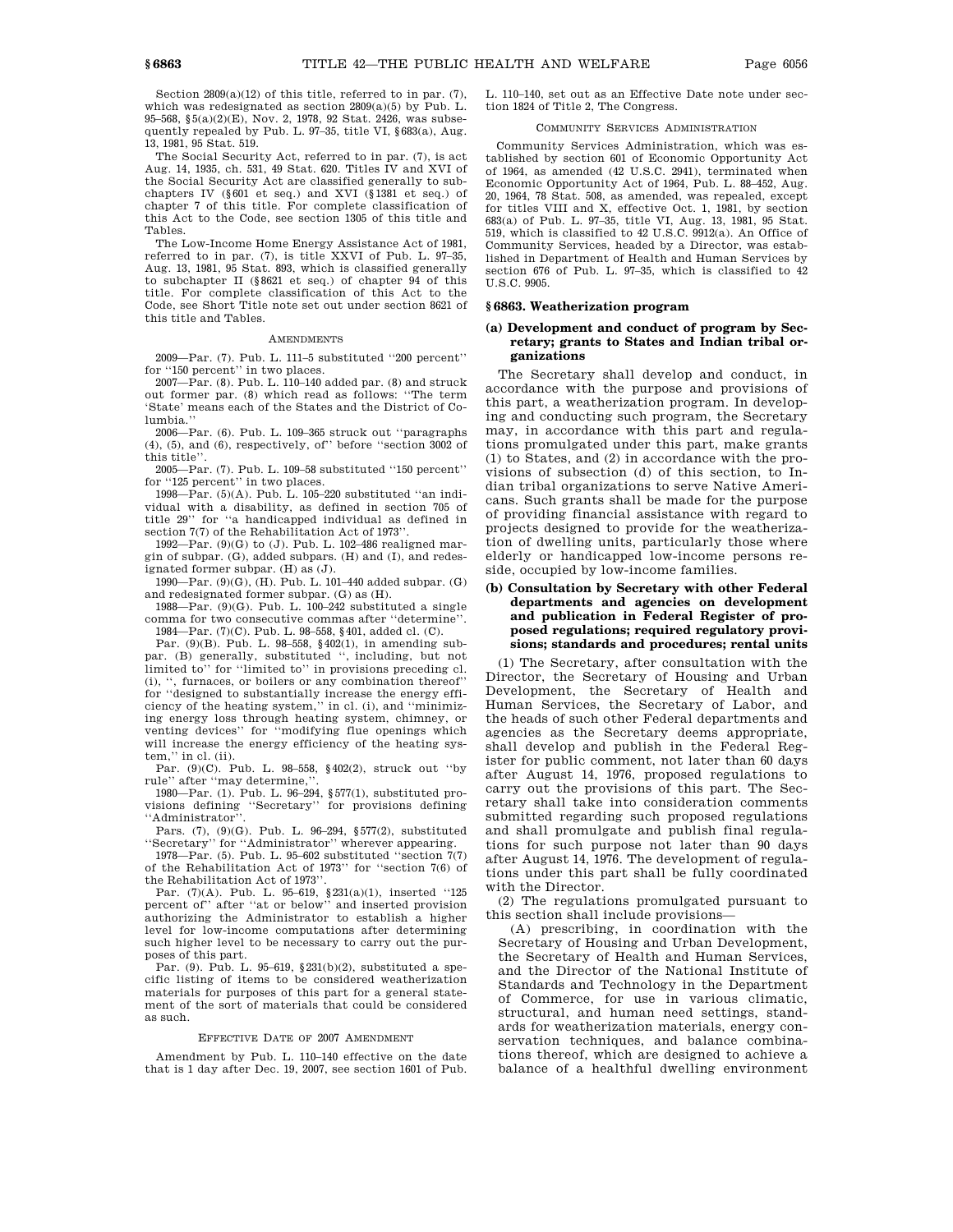Section 2809(a)(12) of this title, referred to in par. (7), which was redesignated as section 2809(a)(5) by Pub. L. 95–568, §5(a)(2)(E), Nov. 2, 1978, 92 Stat. 2426, was subsequently repealed by Pub. L. 97–35, title VI, §683(a), Aug. 13, 1981, 95 Stat. 519.

The Social Security Act, referred to in par. (7), is act Aug. 14, 1935, ch. 531, 49 Stat. 620. Titles IV and XVI of the Social Security Act are classified generally to subchapters IV (§601 et seq.) and XVI (§1381 et seq.) of chapter 7 of this title. For complete classification of this Act to the Code, see section 1305 of this title and Tables.

The Low-Income Home Energy Assistance Act of 1981, referred to in par. (7), is title XXVI of Pub. L. 97–35, Aug. 13, 1981, 95 Stat. 893, which is classified generally to subchapter II (§8621 et seq.) of chapter 94 of this title. For complete classification of this Act to the Code, see Short Title note set out under section 8621 of this title and Tables.

#### AMENDMENTS

2009—Par. (7). Pub. L. 111–5 substituted ''200 percent'' for ''150 percent'' in two places.

 $2007 - \overline{P}$ ar. (8). Pub. L. 110–140 added par. (8) and struck out former par. (8) which read as follows: ''The term 'State' means each of the States and the District of Columbia.''

2006—Par. (6). Pub. L. 109–365 struck out ''paragraphs (4), (5), and (6), respectively, of'' before ''section 3002 of this title''.

2005—Par. (7). Pub. L. 109–58 substituted ''150 percent'' for "125 percent" in two places.

1998—Par. (5)(A). Pub. L. 105–220 substituted ''an individual with a disability, as defined in section 705 of title 29'' for ''a handicapped individual as defined in section 7(7) of the Rehabilitation Act of 1973''.

1992—Par. (9)(G) to (J). Pub. L. 102–486 realigned margin of subpar. (G), added subpars. (H) and (I), and redesignated former subpar. (H) as (J).

1990—Par. (9)(G), (H). Pub. L. 101–440 added subpar. (G) and redesignated former subpar. (G) as (H).

1988—Par. (9)(G). Pub. L. 100–242 substituted a single comma for two consecutive commas after ''determine''.

1984—Par. (7)(C). Pub. L. 98–558, §401, added cl. (C).

Par. (9)(B). Pub. L. 98–558, §402(1), in amending subpar. (B) generally, substituted ", including, but not limited to'' for ''limited to'' in provisions preceding cl. (i), '', furnaces, or boilers or any combination thereof'' for ''designed to substantially increase the energy efficiency of the heating system,'' in cl. (i), and ''minimizing energy loss through heating system, chimney, or venting devices'' for ''modifying flue openings which will increase the energy efficiency of the heating system,'' in cl. (ii).

Par. (9)(C). Pub. L. 98–558, §402(2), struck out ''by rule" after "may determine,

1980—Par. (1). Pub. L. 96–294, §577(1), substituted provisions defining ''Secretary'' for provisions defining ''Administrator''.

Pars. (7), (9)(G). Pub. L. 96–294, §577(2), substituted ''Secretary'' for ''Administrator'' wherever appearing.

1978—Par. (5). Pub. L. 95–602 substituted ''section 7(7) of the Rehabilitation Act of 1973'' for ''section 7(6) of the Rehabilitation Act of 1973''.

Par. (7)(A). Pub. L. 95–619, §231(a)(1), inserted ''125 percent of'' after ''at or below'' and inserted provision authorizing the Administrator to establish a higher level for low-income computations after determining such higher level to be necessary to carry out the purposes of this part.

Par. (9). Pub. L. 95–619, §231(b)(2), substituted a specific listing of items to be considered weatherization materials for purposes of this part for a general statement of the sort of materials that could be considered as such.

#### EFFECTIVE DATE OF 2007 AMENDMENT

Amendment by Pub. L. 110–140 effective on the date that is 1 day after Dec. 19, 2007, see section 1601 of Pub. L. 110–140, set out as an Effective Date note under section 1824 of Title 2, The Congress.

## COMMUNITY SERVICES ADMINISTRATION

Community Services Administration, which was established by section 601 of Economic Opportunity Act of 1964, as amended (42 U.S.C. 2941), terminated when Economic Opportunity Act of 1964, Pub. L. 88–452, Aug. 20, 1964, 78 Stat. 508, as amended, was repealed, except for titles VIII and X, effective Oct. 1, 1981, by section 683(a) of Pub. L. 97–35, title VI, Aug. 13, 1981, 95 Stat. 519, which is classified to 42 U.S.C. 9912(a). An Office of Community Services, headed by a Director, was established in Department of Health and Human Services by section 676 of Pub. L. 97–35, which is classified to 42 U.S.C. 9905.

# **§ 6863. Weatherization program**

## **(a) Development and conduct of program by Secretary; grants to States and Indian tribal organizations**

The Secretary shall develop and conduct, in accordance with the purpose and provisions of this part, a weatherization program. In developing and conducting such program, the Secretary may, in accordance with this part and regulations promulgated under this part, make grants (1) to States, and (2) in accordance with the provisions of subsection (d) of this section, to Indian tribal organizations to serve Native Americans. Such grants shall be made for the purpose of providing financial assistance with regard to projects designed to provide for the weatherization of dwelling units, particularly those where elderly or handicapped low-income persons reside, occupied by low-income families.

# **(b) Consultation by Secretary with other Federal departments and agencies on development and publication in Federal Register of proposed regulations; required regulatory provisions; standards and procedures; rental units**

(1) The Secretary, after consultation with the Director, the Secretary of Housing and Urban Development, the Secretary of Health and Human Services, the Secretary of Labor, and the heads of such other Federal departments and agencies as the Secretary deems appropriate, shall develop and publish in the Federal Register for public comment, not later than 60 days after August 14, 1976, proposed regulations to carry out the provisions of this part. The Secretary shall take into consideration comments submitted regarding such proposed regulations and shall promulgate and publish final regulations for such purpose not later than 90 days after August 14, 1976. The development of regulations under this part shall be fully coordinated with the Director.

(2) The regulations promulgated pursuant to this section shall include provisions—

(A) prescribing, in coordination with the Secretary of Housing and Urban Development, the Secretary of Health and Human Services, and the Director of the National Institute of Standards and Technology in the Department of Commerce, for use in various climatic, structural, and human need settings, standards for weatherization materials, energy conservation techniques, and balance combinations thereof, which are designed to achieve a balance of a healthful dwelling environment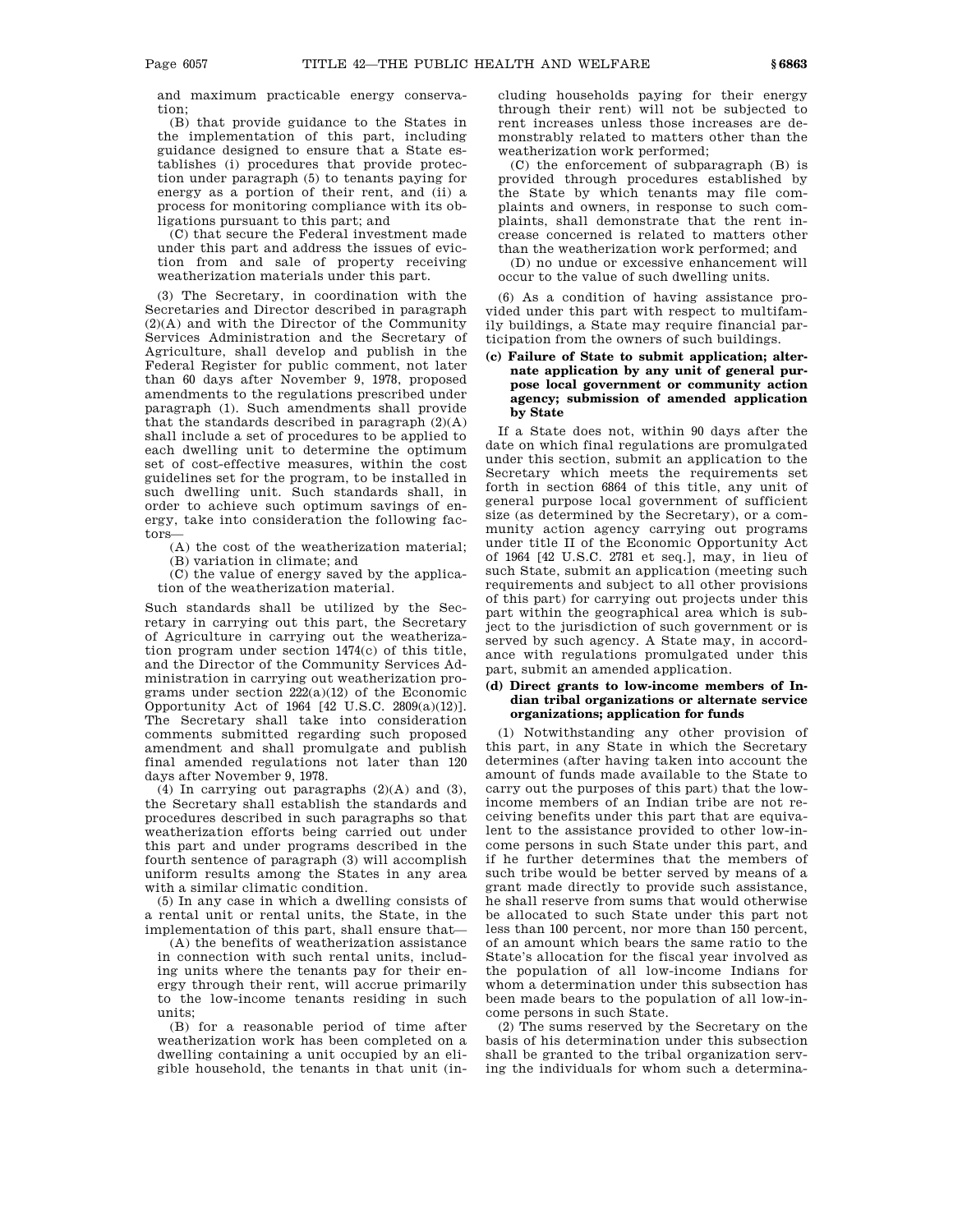and maximum practicable energy conservation;

(B) that provide guidance to the States in the implementation of this part, including guidance designed to ensure that a State establishes (i) procedures that provide protection under paragraph (5) to tenants paying for energy as a portion of their rent, and (ii) a process for monitoring compliance with its obligations pursuant to this part; and

(C) that secure the Federal investment made under this part and address the issues of eviction from and sale of property receiving weatherization materials under this part.

(3) The Secretary, in coordination with the Secretaries and Director described in paragraph (2)(A) and with the Director of the Community Services Administration and the Secretary of Agriculture, shall develop and publish in the Federal Register for public comment, not later than 60 days after November 9, 1978, proposed amendments to the regulations prescribed under paragraph (1). Such amendments shall provide that the standards described in paragraph  $(2)(A)$ shall include a set of procedures to be applied to each dwelling unit to determine the optimum set of cost-effective measures, within the cost guidelines set for the program, to be installed in such dwelling unit. Such standards shall, in order to achieve such optimum savings of energy, take into consideration the following factors—

(A) the cost of the weatherization material; (B) variation in climate; and

(C) the value of energy saved by the application of the weatherization material.

Such standards shall be utilized by the Secretary in carrying out this part, the Secretary of Agriculture in carrying out the weatherization program under section 1474(c) of this title, and the Director of the Community Services Administration in carrying out weatherization programs under section 222(a)(12) of the Economic Opportunity Act of 1964 [42 U.S.C. 2809(a)(12)]. The Secretary shall take into consideration comments submitted regarding such proposed amendment and shall promulgate and publish final amended regulations not later than 120 days after November 9, 1978.

(4) In carrying out paragraphs  $(2)(A)$  and  $(3)$ , the Secretary shall establish the standards and procedures described in such paragraphs so that weatherization efforts being carried out under this part and under programs described in the fourth sentence of paragraph (3) will accomplish uniform results among the States in any area with a similar climatic condition.

(5) In any case in which a dwelling consists of a rental unit or rental units, the State, in the implementation of this part, shall ensure that—

(A) the benefits of weatherization assistance in connection with such rental units, including units where the tenants pay for their energy through their rent, will accrue primarily to the low-income tenants residing in such units;

(B) for a reasonable period of time after weatherization work has been completed on a dwelling containing a unit occupied by an eligible household, the tenants in that unit (in-

cluding households paying for their energy through their rent) will not be subjected to rent increases unless those increases are demonstrably related to matters other than the weatherization work performed;

(C) the enforcement of subparagraph (B) is provided through procedures established by the State by which tenants may file complaints and owners, in response to such complaints, shall demonstrate that the rent increase concerned is related to matters other than the weatherization work performed; and

(D) no undue or excessive enhancement will occur to the value of such dwelling units.

(6) As a condition of having assistance provided under this part with respect to multifamily buildings, a State may require financial participation from the owners of such buildings.

# **(c) Failure of State to submit application; alternate application by any unit of general purpose local government or community action agency; submission of amended application by State**

If a State does not, within 90 days after the date on which final regulations are promulgated under this section, submit an application to the Secretary which meets the requirements set forth in section 6864 of this title, any unit of general purpose local government of sufficient size (as determined by the Secretary), or a community action agency carrying out programs under title II of the Economic Opportunity Act of 1964 [42 U.S.C. 2781 et seq.], may, in lieu of such State, submit an application (meeting such requirements and subject to all other provisions of this part) for carrying out projects under this part within the geographical area which is subject to the jurisdiction of such government or is served by such agency. A State may, in accordance with regulations promulgated under this part, submit an amended application.

# **(d) Direct grants to low-income members of Indian tribal organizations or alternate service organizations; application for funds**

(1) Notwithstanding any other provision of this part, in any State in which the Secretary determines (after having taken into account the amount of funds made available to the State to carry out the purposes of this part) that the lowincome members of an Indian tribe are not receiving benefits under this part that are equivalent to the assistance provided to other low-income persons in such State under this part, and if he further determines that the members of such tribe would be better served by means of a grant made directly to provide such assistance, he shall reserve from sums that would otherwise be allocated to such State under this part not less than 100 percent, nor more than 150 percent, of an amount which bears the same ratio to the State's allocation for the fiscal year involved as the population of all low-income Indians for whom a determination under this subsection has been made bears to the population of all low-income persons in such State.

(2) The sums reserved by the Secretary on the basis of his determination under this subsection shall be granted to the tribal organization serving the individuals for whom such a determina-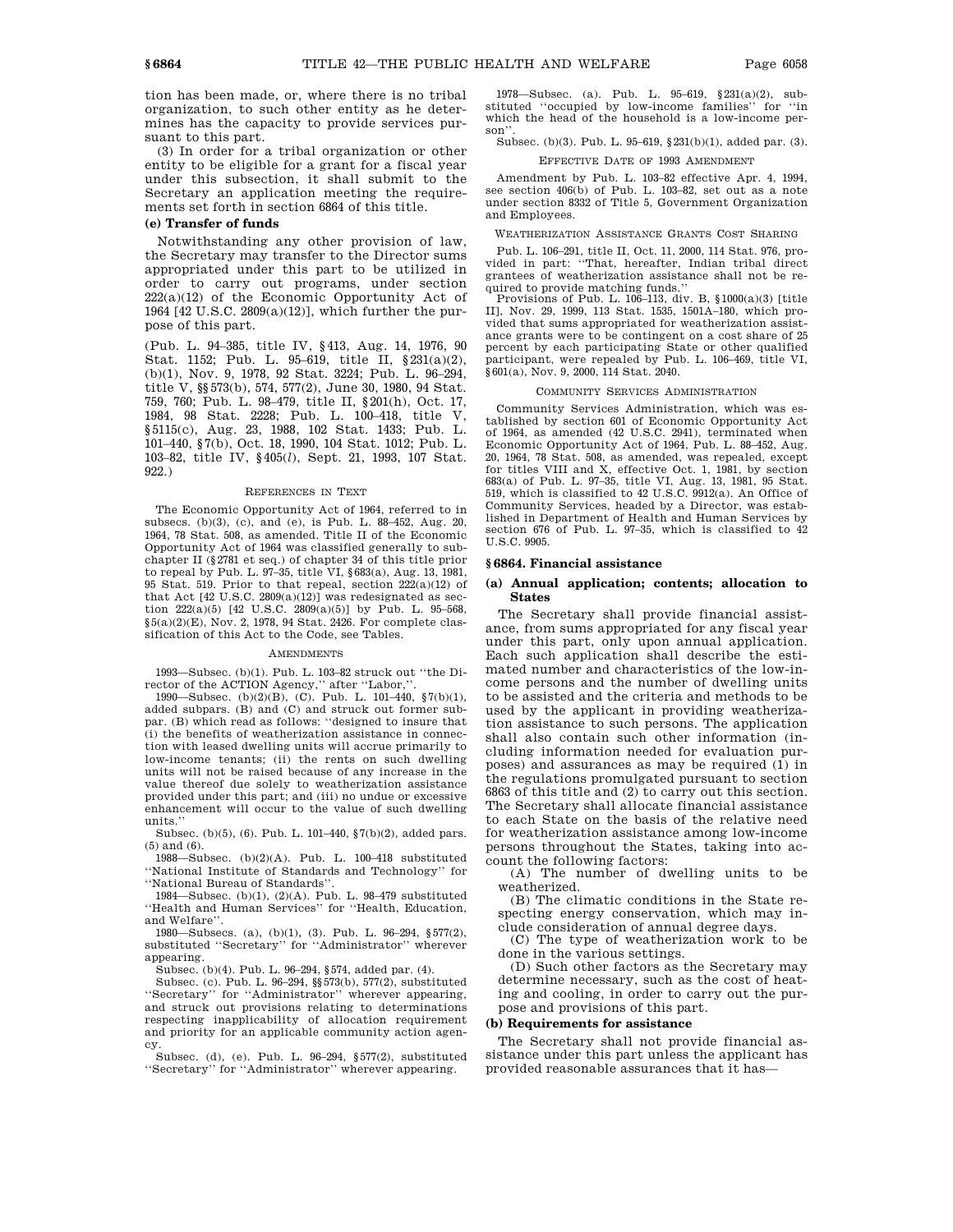tion has been made, or, where there is no tribal organization, to such other entity as he determines has the capacity to provide services pursuant to this part.

(3) In order for a tribal organization or other entity to be eligible for a grant for a fiscal year under this subsection, it shall submit to the Secretary an application meeting the requirements set forth in section 6864 of this title.

# **(e) Transfer of funds**

Notwithstanding any other provision of law, the Secretary may transfer to the Director sums appropriated under this part to be utilized in order to carry out programs, under section 222(a)(12) of the Economic Opportunity Act of 1964 [42 U.S.C. 2809(a)(12)], which further the purpose of this part.

(Pub. L. 94–385, title IV, §413, Aug. 14, 1976, 90 Stat. 1152; Pub. L. 95–619, title II, §231(a)(2), (b)(1), Nov. 9, 1978, 92 Stat. 3224; Pub. L. 96–294, title V, §§573(b), 574, 577(2), June 30, 1980, 94 Stat. 759, 760; Pub. L. 98–479, title II, §201(h), Oct. 17, 1984, 98 Stat. 2228; Pub. L. 100–418, title V, §5115(c), Aug. 23, 1988, 102 Stat. 1433; Pub. L. 101–440, §7(b), Oct. 18, 1990, 104 Stat. 1012; Pub. L. 103–82, title IV, §405(*l*), Sept. 21, 1993, 107 Stat. 922.)

#### REFERENCES IN TEXT

The Economic Opportunity Act of 1964, referred to in subsecs. (b)(3), (c), and (e), is Pub. L. 88–452, Aug. 20, 1964, 78 Stat. 508, as amended. Title II of the Economic Opportunity Act of 1964 was classified generally to subchapter II (§2781 et seq.) of chapter 34 of this title prior to repeal by Pub. L. 97–35, title VI, §683(a), Aug. 13, 1981, 95 Stat. 519. Prior to that repeal, section 222(a)(12) of that Act  $[42 \text{ U.S.C. } 2809(a)(12)]$  was redesignated as section 222(a)(5) [42 U.S.C. 2809(a)(5)] by Pub. L. 95-568, §5(a)(2)(E), Nov. 2, 1978, 94 Stat. 2426. For complete classification of this Act to the Code, see Tables.

### **AMENDMENTS**

1993—Subsec. (b)(1). Pub. L. 103–82 struck out ''the Director of the ACTION Agency," after "Labor,"

1990—Subsec. (b)(2)(B), (C). Pub. L. 101–440, §7(b)(1), added subpars. (B) and (C) and struck out former subpar. (B) which read as follows: ''designed to insure that (i) the benefits of weatherization assistance in connection with leased dwelling units will accrue primarily to low-income tenants; (ii) the rents on such dwelling units will not be raised because of any increase in the value thereof due solely to weatherization assistance provided under this part; and (iii) no undue or excessive enhancement will occur to the value of such dwelling units.''

Subsec. (b)(5), (6). Pub. L. 101–440, §7(b)(2), added pars. (5) and (6).

1988—Subsec. (b)(2)(A). Pub. L. 100–418 substituted ''National Institute of Standards and Technology'' for ''National Bureau of Standards''.

1984—Subsec. (b)(1), (2)(A). Pub. L. 98–479 substituted ''Health and Human Services'' for ''Health, Education, and Welfare''.

1980—Subsecs. (a), (b)(1), (3). Pub. L. 96–294, §577(2), substituted ''Secretary'' for ''Administrator'' wherever appearing.

Subsec. (b)(4). Pub. L. 96–294, §574, added par. (4).

Subsec. (c). Pub. L. 96–294, §§573(b), 577(2), substituted ''Secretary'' for ''Administrator'' wherever appearing, and struck out provisions relating to determinations respecting inapplicability of allocation requirement and priority for an applicable community action agency.

Subsec. (d), (e). Pub. L.  $96-294$ ,  $8577(2)$ , substituted ''Secretary'' for ''Administrator'' wherever appearing.

1978—Subsec. (a). Pub. L. 95–619, §231(a)(2), substituted ''occupied by low-income families'' for ''in which the head of the household is a low-income person'

# Subsec. (b)(3). Pub. L. 95–619, §231(b)(1), added par. (3).

# EFFECTIVE DATE OF 1993 AMENDMENT

Amendment by Pub. L. 103–82 effective Apr. 4, 1994, see section 406(b) of Pub. L. 103–82, set out as a note under section 8332 of Title 5, Government Organization and Employees.

### WEATHERIZATION ASSISTANCE GRANTS COST SHARING

Pub. L. 106–291, title II, Oct. 11, 2000, 114 Stat. 976, pro-vided in part: ''That, hereafter, Indian tribal direct grantees of weatherization assistance shall not be required to provide matching funds.''

Provisions of Pub. L. 106–113, div. B, §1000(a)(3) [title II], Nov. 29, 1999, 113 Stat. 1535, 1501A–180, which provided that sums appropriated for weatherization assistance grants were to be contingent on a cost share of 25 percent by each participating State or other qualified participant, were repealed by Pub. L. 106–469, title VI, §601(a), Nov. 9, 2000, 114 Stat. 2040.

## COMMUNITY SERVICES ADMINISTRATION

Community Services Administration, which was established by section 601 of Economic Opportunity Act of 1964, as amended (42 U.S.C. 2941), terminated when Economic Opportunity Act of 1964, Pub. L. 88–452, Aug. 20, 1964, 78 Stat. 508, as amended, was repealed, except for titles VIII and X, effective Oct. 1, 1981, by section 683(a) of Pub. L. 97–35, title VI, Aug. 13, 1981, 95 Stat. 519, which is classified to 42 U.S.C. 9912(a). An Office of Community Services, headed by a Director, was established in Department of Health and Human Services by section 676 of Pub. L. 97–35, which is classified to 42 U.S.C. 9905.

### **§ 6864. Financial assistance**

### **(a) Annual application; contents; allocation to States**

The Secretary shall provide financial assistance, from sums appropriated for any fiscal year under this part, only upon annual application. Each such application shall describe the estimated number and characteristics of the low-income persons and the number of dwelling units to be assisted and the criteria and methods to be used by the applicant in providing weatherization assistance to such persons. The application shall also contain such other information (including information needed for evaluation purposes) and assurances as may be required  $(1)$  in the regulations promulgated pursuant to section 6863 of this title and (2) to carry out this section. The Secretary shall allocate financial assistance to each State on the basis of the relative need for weatherization assistance among low-income persons throughout the States, taking into account the following factors:

(A) The number of dwelling units to be weatherized.

(B) The climatic conditions in the State respecting energy conservation, which may include consideration of annual degree days.

(C) The type of weatherization work to be done in the various settings.

(D) Such other factors as the Secretary may determine necessary, such as the cost of heating and cooling, in order to carry out the purpose and provisions of this part.

### **(b) Requirements for assistance**

The Secretary shall not provide financial assistance under this part unless the applicant has provided reasonable assurances that it has—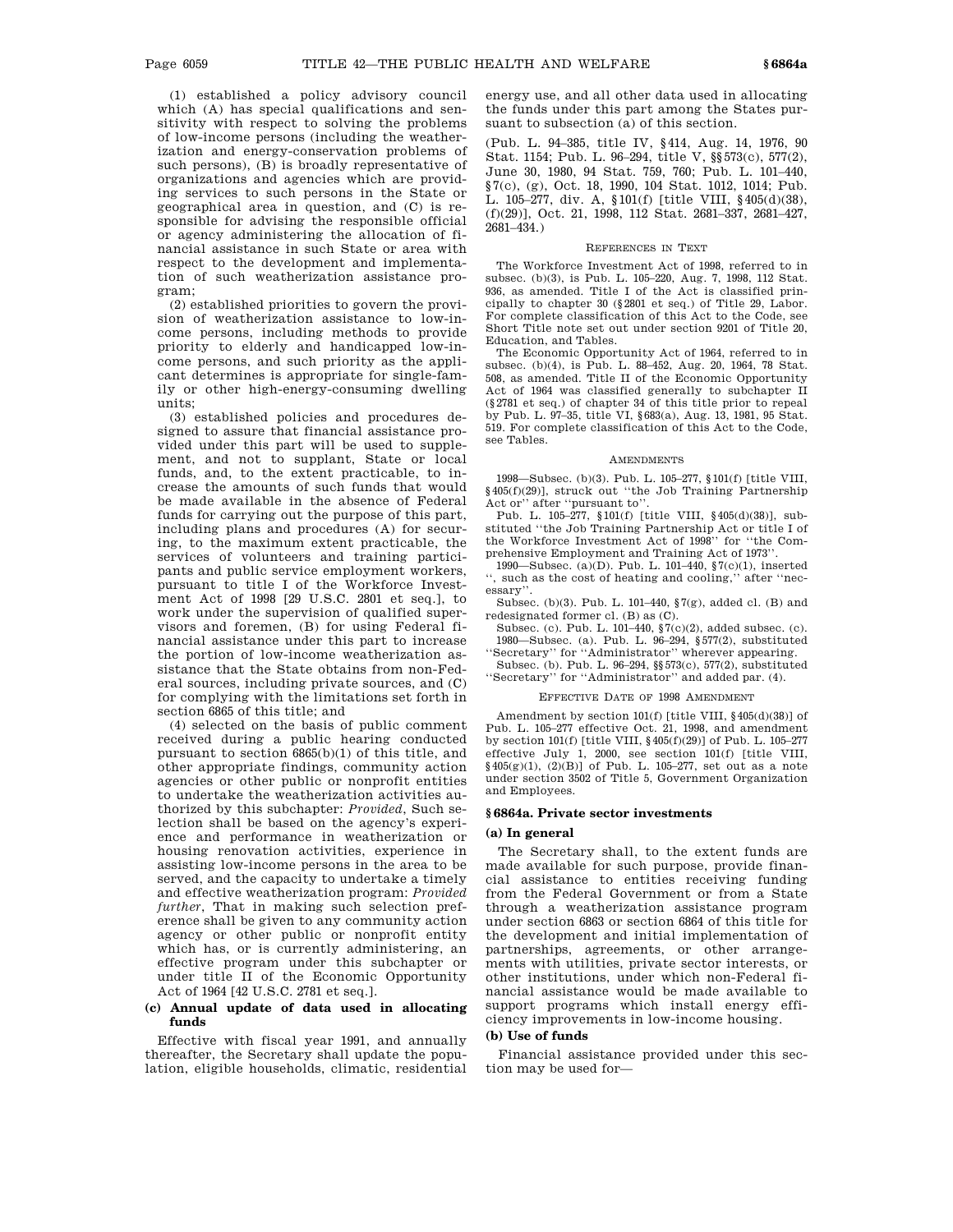(1) established a policy advisory council which (A) has special qualifications and sensitivity with respect to solving the problems of low-income persons (including the weatherization and energy-conservation problems of such persons), (B) is broadly representative of organizations and agencies which are providing services to such persons in the State or geographical area in question, and (C) is responsible for advising the responsible official or agency administering the allocation of financial assistance in such State or area with respect to the development and implementation of such weatherization assistance program;

(2) established priorities to govern the provision of weatherization assistance to low-income persons, including methods to provide priority to elderly and handicapped low-income persons, and such priority as the applicant determines is appropriate for single-family or other high-energy-consuming dwelling units;

(3) established policies and procedures designed to assure that financial assistance provided under this part will be used to supplement, and not to supplant, State or local funds, and, to the extent practicable, to increase the amounts of such funds that would be made available in the absence of Federal funds for carrying out the purpose of this part, including plans and procedures (A) for securing, to the maximum extent practicable, the services of volunteers and training participants and public service employment workers, pursuant to title I of the Workforce Investment Act of 1998 [29 U.S.C. 2801 et seq.], to work under the supervision of qualified supervisors and foremen, (B) for using Federal financial assistance under this part to increase the portion of low-income weatherization assistance that the State obtains from non-Federal sources, including private sources, and (C) for complying with the limitations set forth in section 6865 of this title; and

(4) selected on the basis of public comment received during a public hearing conducted pursuant to section 6865(b)(1) of this title, and other appropriate findings, community action agencies or other public or nonprofit entities to undertake the weatherization activities authorized by this subchapter: *Provided*, Such selection shall be based on the agency's experience and performance in weatherization or housing renovation activities, experience in assisting low-income persons in the area to be served, and the capacity to undertake a timely and effective weatherization program: *Provided further*, That in making such selection preference shall be given to any community action agency or other public or nonprofit entity which has, or is currently administering, an effective program under this subchapter or under title II of the Economic Opportunity Act of 1964 [42 U.S.C. 2781 et seq.].

### **(c) Annual update of data used in allocating funds**

Effective with fiscal year 1991, and annually thereafter, the Secretary shall update the population, eligible households, climatic, residential energy use, and all other data used in allocating the funds under this part among the States pursuant to subsection (a) of this section.

(Pub. L. 94–385, title IV, §414, Aug. 14, 1976, 90 Stat. 1154; Pub. L. 96–294, title V, §§573(c), 577(2), June 30, 1980, 94 Stat. 759, 760; Pub. L. 101–440, §7(c), (g), Oct. 18, 1990, 104 Stat. 1012, 1014; Pub. L. 105–277, div. A, §101(f) [title VIII, §405(d)(38), (f)(29)], Oct. 21, 1998, 112 Stat. 2681–337, 2681–427, 2681–434.)

# REFERENCES IN TEXT

The Workforce Investment Act of 1998, referred to in subsec. (b)(3), is Pub. L. 105–220, Aug. 7, 1998, 112 Stat. 936, as amended. Title I of the Act is classified principally to chapter 30 (§2801 et seq.) of Title 29, Labor. For complete classification of this Act to the Code, see Short Title note set out under section 9201 of Title 20, Education, and Tables.

The Economic Opportunity Act of 1964, referred to in subsec. (b)(4), is Pub. L. 88–452, Aug. 20, 1964, 78 Stat. 508, as amended. Title II of the Economic Opportunity Act of 1964 was classified generally to subchapter II (§2781 et seq.) of chapter 34 of this title prior to repeal by Pub. L. 97–35, title VI, §683(a), Aug. 13, 1981, 95 Stat. 519. For complete classification of this Act to the Code, see Tables.

## AMENDMENTS

1998—Subsec. (b)(3). Pub. L. 105–277, §101(f) [title VIII, §405(f)(29)], struck out ''the Job Training Partnership Act or'' after ''pursuant to''.

Pub. L. 105–277, §101(f) [title VIII, §405(d)(38)], substituted ''the Job Training Partnership Act or title I of the Workforce Investment Act of 1998'' for ''the Comprehensive Employment and Training Act of 1973''.

1990—Subsec. (a)(D). Pub. L. 101–440, §7(c)(1), inserted '', such as the cost of heating and cooling,'' after ''necessary''.

Subsec. (b)(3). Pub. L. 101–440, §7(g), added cl. (B) and redesignated former cl. (B) as (C).

Subsec. (c). Pub. L. 101–440, §7(c)(2), added subsec. (c). 1980—Subsec. (a). Pub. L. 96–294, §577(2), substituted ''Secretary'' for ''Administrator'' wherever appearing.

Subsec. (b). Pub. L. 96–294, §§573(c), 577(2), substituted ''Secretary'' for ''Administrator'' and added par. (4).

#### EFFECTIVE DATE OF 1998 AMENDMENT

Amendment by section 101(f) [title VIII, §405(d)(38)] of Pub. L. 105–277 effective Oct. 21, 1998, and amendment by section 101(f) [title VIII, §405(f)(29)] of Pub. L. 105–277 effective July 1, 2000, see section 101(f) [title VIII, §405(g)(1), (2)(B)] of Pub. L. 105-277, set out as a note under section 3502 of Title 5, Government Organization and Employees.

### **§ 6864a. Private sector investments**

### **(a) In general**

The Secretary shall, to the extent funds are made available for such purpose, provide financial assistance to entities receiving funding from the Federal Government or from a State through a weatherization assistance program under section 6863 or section 6864 of this title for the development and initial implementation of partnerships, agreements, or other arrangements with utilities, private sector interests, or other institutions, under which non-Federal financial assistance would be made available to support programs which install energy efficiency improvements in low-income housing.

## **(b) Use of funds**

Financial assistance provided under this section may be used for—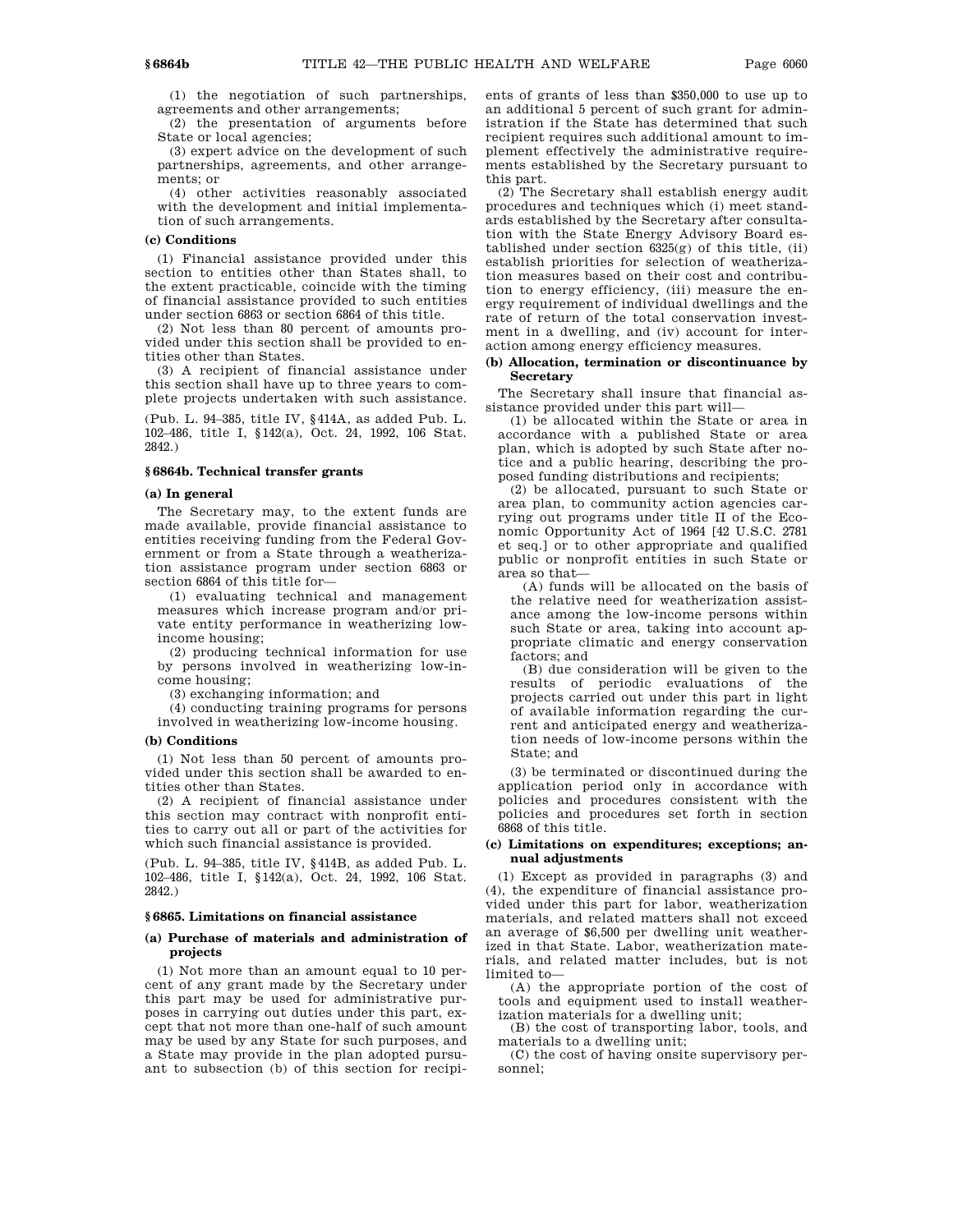(1) the negotiation of such partnerships, agreements and other arrangements;

(2) the presentation of arguments before State or local agencies;

(3) expert advice on the development of such partnerships, agreements, and other arrangements; or

(4) other activities reasonably associated with the development and initial implementation of such arrangements.

### **(c) Conditions**

(1) Financial assistance provided under this section to entities other than States shall, to the extent practicable, coincide with the timing of financial assistance provided to such entities under section 6863 or section 6864 of this title.

(2) Not less than 80 percent of amounts provided under this section shall be provided to entities other than States.

(3) A recipient of financial assistance under this section shall have up to three years to complete projects undertaken with such assistance.

(Pub. L. 94–385, title IV, §414A, as added Pub. L. 102–486, title I, §142(a), Oct. 24, 1992, 106 Stat. 2842.)

# **§ 6864b. Technical transfer grants**

### **(a) In general**

The Secretary may, to the extent funds are made available, provide financial assistance to entities receiving funding from the Federal Government or from a State through a weatherization assistance program under section 6863 or section 6864 of this title for—

(1) evaluating technical and management measures which increase program and/or private entity performance in weatherizing lowincome housing;

(2) producing technical information for use by persons involved in weatherizing low-income housing;

(3) exchanging information; and

(4) conducting training programs for persons involved in weatherizing low-income housing.

### **(b) Conditions**

(1) Not less than 50 percent of amounts provided under this section shall be awarded to entities other than States.

(2) A recipient of financial assistance under this section may contract with nonprofit entities to carry out all or part of the activities for which such financial assistance is provided.

(Pub. L. 94–385, title IV, §414B, as added Pub. L. 102–486, title I, §142(a), Oct. 24, 1992, 106 Stat. 2842.)

# **§ 6865. Limitations on financial assistance**

### **(a) Purchase of materials and administration of projects**

(1) Not more than an amount equal to 10 percent of any grant made by the Secretary under this part may be used for administrative purposes in carrying out duties under this part, except that not more than one-half of such amount may be used by any State for such purposes, and a State may provide in the plan adopted pursuant to subsection (b) of this section for recipients of grants of less than \$350,000 to use up to an additional 5 percent of such grant for administration if the State has determined that such recipient requires such additional amount to implement effectively the administrative requirements established by the Secretary pursuant to this part.

(2) The Secretary shall establish energy audit procedures and techniques which (i) meet standards established by the Secretary after consultation with the State Energy Advisory Board established under section  $6325(g)$  of this title, (ii) establish priorities for selection of weatherization measures based on their cost and contribution to energy efficiency, (iii) measure the energy requirement of individual dwellings and the rate of return of the total conservation investment in a dwelling, and (iv) account for interaction among energy efficiency measures.

# **(b) Allocation, termination or discontinuance by Secretary**

The Secretary shall insure that financial assistance provided under this part will—

(1) be allocated within the State or area in accordance with a published State or area plan, which is adopted by such State after notice and a public hearing, describing the proposed funding distributions and recipients;

(2) be allocated, pursuant to such State or area plan, to community action agencies carrying out programs under title II of the Economic Opportunity Act of 1964 [42 U.S.C. 2781 et seq.] or to other appropriate and qualified public or nonprofit entities in such State or area so that—

(A) funds will be allocated on the basis of the relative need for weatherization assistance among the low-income persons within such State or area, taking into account appropriate climatic and energy conservation factors; and

(B) due consideration will be given to the results of periodic evaluations of the projects carried out under this part in light of available information regarding the current and anticipated energy and weatherization needs of low-income persons within the State; and

(3) be terminated or discontinued during the application period only in accordance with policies and procedures consistent with the policies and procedures set forth in section 6868 of this title.

## **(c) Limitations on expenditures; exceptions; annual adjustments**

(1) Except as provided in paragraphs (3) and (4), the expenditure of financial assistance provided under this part for labor, weatherization materials, and related matters shall not exceed an average of \$6,500 per dwelling unit weatherized in that State. Labor, weatherization materials, and related matter includes, but is not limited to—

(A) the appropriate portion of the cost of tools and equipment used to install weatherization materials for a dwelling unit;

(B) the cost of transporting labor, tools, and materials to a dwelling unit;

(C) the cost of having onsite supervisory personnel;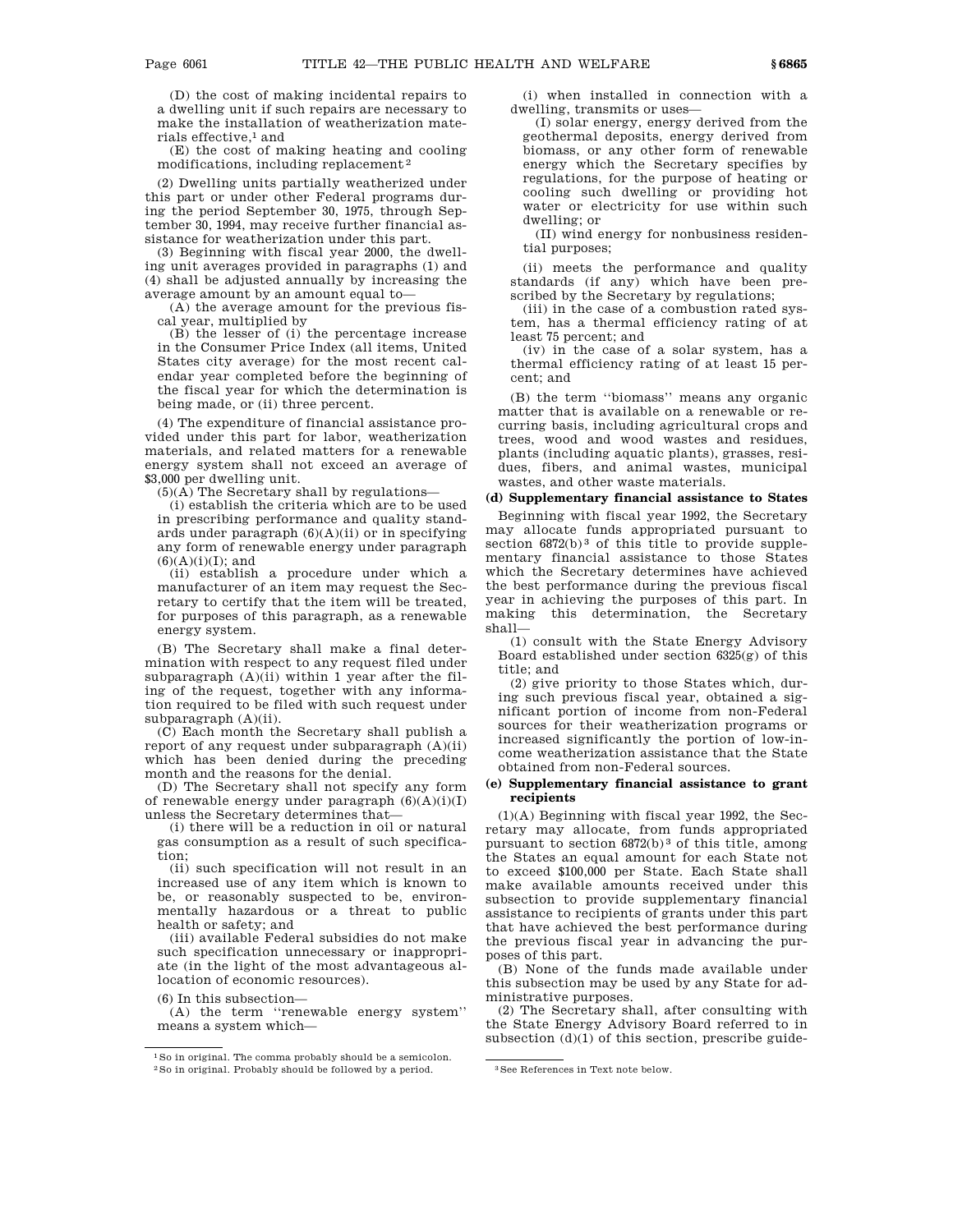(D) the cost of making incidental repairs to a dwelling unit if such repairs are necessary to make the installation of weatherization materials effective,1 and

(E) the cost of making heating and cooling modifications, including replacement 2

(2) Dwelling units partially weatherized under this part or under other Federal programs during the period September 30, 1975, through September 30, 1994, may receive further financial assistance for weatherization under this part.

(3) Beginning with fiscal year 2000, the dwelling unit averages provided in paragraphs (1) and (4) shall be adjusted annually by increasing the average amount by an amount equal to—

(A) the average amount for the previous fiscal year, multiplied by

(B) the lesser of (i) the percentage increase in the Consumer Price Index (all items, United States city average) for the most recent calendar year completed before the beginning of the fiscal year for which the determination is being made, or (ii) three percent.

(4) The expenditure of financial assistance provided under this part for labor, weatherization materials, and related matters for a renewable energy system shall not exceed an average of \$3,000 per dwelling unit.

 $(5)(\overline{A})$  The Secretary shall by regulations—

(i) establish the criteria which are to be used in prescribing performance and quality standards under paragraph  $(6)(A)(ii)$  or in specifying any form of renewable energy under paragraph  $(6)(A)(i)(I)$ ; and

(ii) establish a procedure under which a manufacturer of an item may request the Secretary to certify that the item will be treated, for purposes of this paragraph, as a renewable energy system.

(B) The Secretary shall make a final determination with respect to any request filed under subparagraph (A)(ii) within 1 year after the filing of the request, together with any information required to be filed with such request under subparagraph (A)(ii).

(C) Each month the Secretary shall publish a report of any request under subparagraph (A)(ii) which has been denied during the preceding month and the reasons for the denial.

(D) The Secretary shall not specify any form of renewable energy under paragraph  $(6)(A)(i)(I)$ unless the Secretary determines that—

(i) there will be a reduction in oil or natural gas consumption as a result of such specification;

(ii) such specification will not result in an increased use of any item which is known to be, or reasonably suspected to be, environmentally hazardous or a threat to public health or safety; and

(iii) available Federal subsidies do not make such specification unnecessary or inappropriate (in the light of the most advantageous allocation of economic resources).

(6) In this subsection—

(A) the term ''renewable energy system'' means a system which—

<sup>2</sup> So in original. Probably should be followed by a period. <sup>3</sup> See References in Text note below.

(i) when installed in connection with a dwelling, transmits or uses—

(I) solar energy, energy derived from the geothermal deposits, energy derived from biomass, or any other form of renewable energy which the Secretary specifies by regulations, for the purpose of heating or cooling such dwelling or providing hot water or electricity for use within such dwelling; or

(II) wind energy for nonbusiness residential purposes;

(ii) meets the performance and quality standards (if any) which have been prescribed by the Secretary by regulations;

(iii) in the case of a combustion rated system, has a thermal efficiency rating of at least 75 percent; and

(iv) in the case of a solar system, has a thermal efficiency rating of at least 15 percent; and

(B) the term ''biomass'' means any organic matter that is available on a renewable or recurring basis, including agricultural crops and trees, wood and wood wastes and residues, plants (including aquatic plants), grasses, residues, fibers, and animal wastes, municipal wastes, and other waste materials.

# **(d) Supplementary financial assistance to States**

Beginning with fiscal year 1992, the Secretary may allocate funds appropriated pursuant to section  $6872(b)^3$  of this title to provide supplementary financial assistance to those States which the Secretary determines have achieved the best performance during the previous fiscal year in achieving the purposes of this part. In making this determination, the Secretary shall—

(1) consult with the State Energy Advisory Board established under section 6325(g) of this title; and

(2) give priority to those States which, during such previous fiscal year, obtained a significant portion of income from non-Federal sources for their weatherization programs or increased significantly the portion of low-income weatherization assistance that the State obtained from non-Federal sources.

## **(e) Supplementary financial assistance to grant recipients**

(1)(A) Beginning with fiscal year 1992, the Secretary may allocate, from funds appropriated pursuant to section  $6872(b)^3$  of this title, among the States an equal amount for each State not to exceed \$100,000 per State. Each State shall make available amounts received under this subsection to provide supplementary financial assistance to recipients of grants under this part that have achieved the best performance during the previous fiscal year in advancing the purposes of this part.

(B) None of the funds made available under this subsection may be used by any State for administrative purposes.

(2) The Secretary shall, after consulting with the State Energy Advisory Board referred to in subsection (d)(1) of this section, prescribe guide-

<sup>1</sup>So in original. The comma probably should be a semicolon.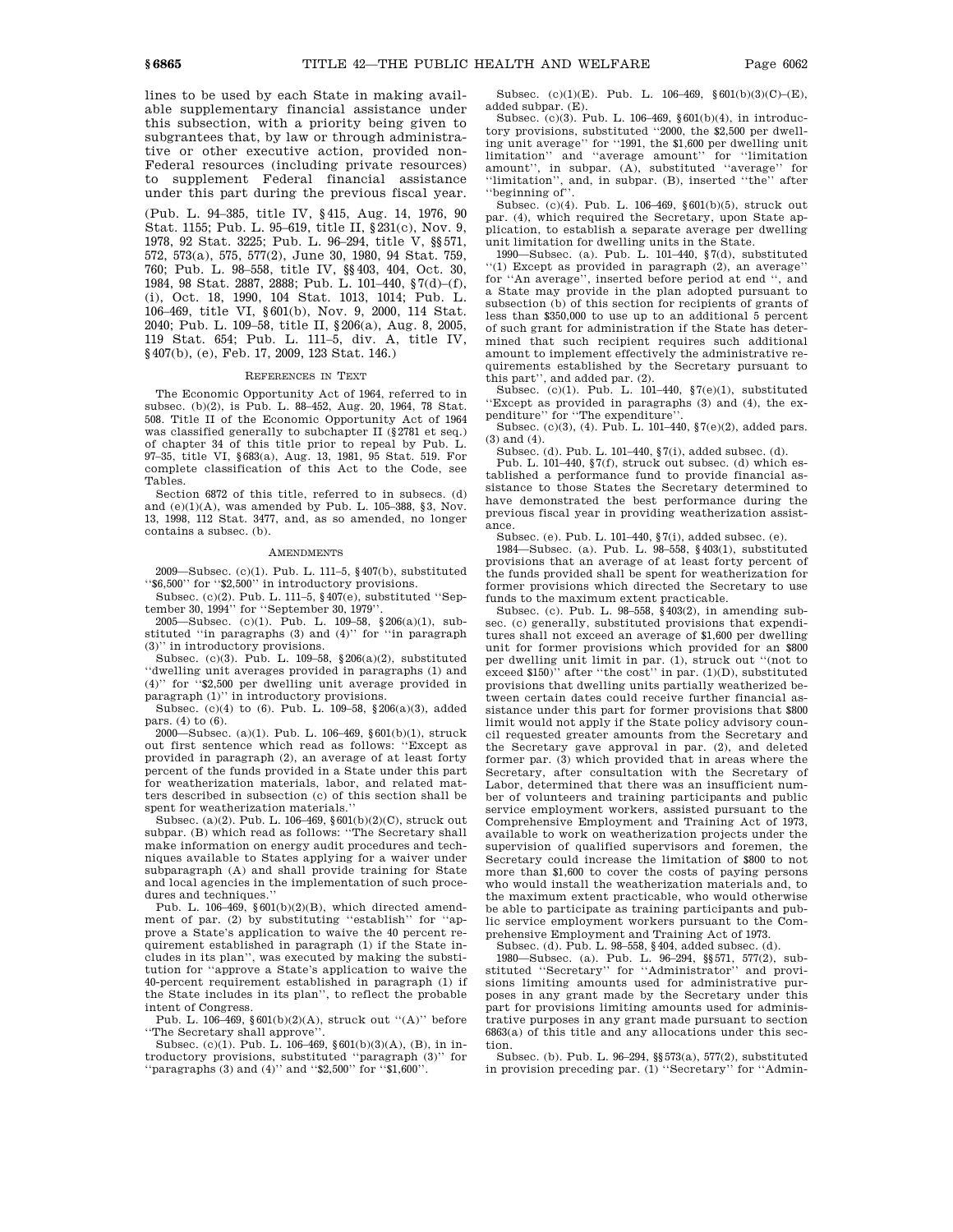lines to be used by each State in making available supplementary financial assistance under this subsection, with a priority being given to subgrantees that, by law or through administrative or other executive action, provided non-Federal resources (including private resources) to supplement Federal financial assistance under this part during the previous fiscal year.

(Pub. L. 94–385, title IV, §415, Aug. 14, 1976, 90 Stat. 1155; Pub. L. 95–619, title II, §231(c), Nov. 9, 1978, 92 Stat. 3225; Pub. L. 96–294, title V, §§571, 572, 573(a), 575, 577(2), June 30, 1980, 94 Stat. 759, 760; Pub. L. 98–558, title IV, §§403, 404, Oct. 30, 1984, 98 Stat. 2887, 2888; Pub. L. 101–440, §7(d)–(f), (i), Oct. 18, 1990, 104 Stat. 1013, 1014; Pub. L. 106–469, title VI, §601(b), Nov. 9, 2000, 114 Stat. 2040; Pub. L. 109–58, title II, §206(a), Aug. 8, 2005, 119 Stat. 654; Pub. L. 111–5, div. A, title IV, §407(b), (e), Feb. 17, 2009, 123 Stat. 146.)

#### REFERENCES IN TEXT

The Economic Opportunity Act of 1964, referred to in subsec. (b)(2), is Pub. L. 88–452, Aug. 20, 1964, 78 Stat. 508. Title II of the Economic Opportunity Act of 1964 was classified generally to subchapter II (§2781 et seq.) of chapter 34 of this title prior to repeal by Pub. L. 97–35, title VI, §683(a), Aug. 13, 1981, 95 Stat. 519. For complete classification of this Act to the Code, see Tables.

Section 6872 of this title, referred to in subsecs. (d) and  $(e)(1)(A)$ , was amended by Pub. L. 105–388, §3, Nov. 13, 1998, 112 Stat. 3477, and, as so amended, no longer contains a subsec. (b).

### **AMENDMENTS**

2009—Subsec. (c)(1). Pub. L. 111–5, §407(b), substituted ''\$6,500'' for ''\$2,500'' in introductory provisions.

Subsec. (c)(2). Pub. L. 111–5, §407(e), substituted ''September 30, 1994'' for ''September 30, 1979''.

2005—Subsec. (c)(1). Pub. L. 109–58, §206(a)(1), substituted ''in paragraphs (3) and (4)'' for ''in paragraph (3)'' in introductory provisions.

Subsec. (c)(3). Pub. L. 109–58,  $§206(a)(2)$ , substituted ''dwelling unit averages provided in paragraphs (1) and (4)'' for ''\$2,500 per dwelling unit average provided in paragraph (1)'' in introductory provisions.

Subsec. (c)(4) to (6). Pub. L. 109–58, §206(a)(3), added pars. (4) to (6).

2000—Subsec. (a)(1). Pub. L. 106–469, §601(b)(1), struck out first sentence which read as follows: ''Except as provided in paragraph (2), an average of at least forty percent of the funds provided in a State under this part for weatherization materials, labor, and related matters described in subsection (c) of this section shall be spent for weatherization materials.''

Subsec. (a)(2). Pub. L. 106–469, §601(b)(2)(C), struck out subpar. (B) which read as follows: ''The Secretary shall make information on energy audit procedures and techniques available to States applying for a waiver under subparagraph (A) and shall provide training for State and local agencies in the implementation of such procedures and techniques.''

Pub. L. 106-469,  $§ 601(b)(2)(B)$ , which directed amendment of par. (2) by substituting "establish" for "approve a State's application to waive the 40 percent requirement established in paragraph (1) if the State includes in its plan'', was executed by making the substitution for ''approve a State's application to waive the 40-percent requirement established in paragraph (1) if the State includes in its plan'', to reflect the probable intent of Congress.

Pub. L. 106–469, §601(b)(2)(A), struck out ''(A)'' before ''The Secretary shall approve''.

Subsec. (c)(1). Pub. L. 106–469, §601(b)(3)(A), (B), in introductory provisions, substituted ''paragraph (3)'' for ''paragraphs (3) and (4)'' and ''\$2,500'' for ''\$1,600''.

Subsec. (c)(1)(E). Pub. L. 106-469,  $\$601(b)(3)(C)–(E)$ , added subpar. (E).

Subsec. (c)(3). Pub. L. 106–469, §601(b)(4), in introductory provisions, substituted ''2000, the \$2,500 per dwelling unit average'' for ''1991, the \$1,600 per dwelling unit limitation'' and ''average amount'' for ''limitation amount'', in subpar. (A), substituted ''average'' for ''limitation'', and, in subpar. (B), inserted ''the'' after ''beginning of''.

Subsec. (c)(4). Pub. L. 106–469, §601(b)(5), struck out par. (4), which required the Secretary, upon State application, to establish a separate average per dwelling unit limitation for dwelling units in the State.

1990—Subsec. (a). Pub. L. 101–440, §7(d), substituted ''(1) Except as provided in paragraph (2), an average'' for ''An average'', inserted before period at end '', and a State may provide in the plan adopted pursuant to subsection (b) of this section for recipients of grants of less than \$350,000 to use up to an additional 5 percent of such grant for administration if the State has determined that such recipient requires such additional amount to implement effectively the administrative requirements established by the Secretary pursuant to this part'', and added par. (2).<br>Subsec. (c)(1). Pub. L. 101–440,  $\sqrt[6]{7}$ (e)(1), substituted

''Except as provided in paragraphs (3) and (4), the expenditure'' for ''The expenditure''.

Subsec. (c)(3), (4). Pub. L. 101–440, §7(e)(2), added pars. (3) and (4).

Subsec. (d). Pub. L. 101–440, §7(i), added subsec. (d).

Pub. L. 101–440, §7(f), struck out subsec. (d) which established a performance fund to provide financial assistance to those States the Secretary determined to have demonstrated the best performance during the previous fiscal year in providing weatherization assistance.

Subsec. (e). Pub. L. 101–440, §7(i), added subsec. (e). 1984—Subsec. (a). Pub. L. 98–558, §403(1), substituted provisions that an average of at least forty percent of

the funds provided shall be spent for weatherization for former provisions which directed the Secretary to use funds to the maximum extent practicable.

Subsec. (c). Pub. L. 98–558, §403(2), in amending subsec. (c) generally, substituted provisions that expenditures shall not exceed an average of \$1,600 per dwelling unit for former provisions which provided for an \$800 per dwelling unit limit in par. (1), struck out ''(not to exceed \$150)'' after ''the cost'' in par. (1)(D), substituted provisions that dwelling units partially weatherized between certain dates could receive further financial assistance under this part for former provisions that \$800 limit would not apply if the State policy advisory council requested greater amounts from the Secretary and the Secretary gave approval in par. (2), and deleted former par. (3) which provided that in areas where the Secretary, after consultation with the Secretary of Labor, determined that there was an insufficient number of volunteers and training participants and public service employment workers, assisted pursuant to the Comprehensive Employment and Training Act of 1973, available to work on weatherization projects under the supervision of qualified supervisors and foremen, the Secretary could increase the limitation of \$800 to not more than \$1,600 to cover the costs of paying persons who would install the weatherization materials and, to the maximum extent practicable, who would otherwise be able to participate as training participants and public service employment workers pursuant to the Comprehensive Employment and Training Act of 1973.

Subsec. (d). Pub. L. 98–558, §404, added subsec. (d). 1980—Subsec. (a). Pub. L. 96–294, §§571, 577(2), substituted "Secretary" for "Administrator" and provisions limiting amounts used for administrative purposes in any grant made by the Secretary under this part for provisions limiting amounts used for administrative purposes in any grant made pursuant to section 6863(a) of this title and any allocations under this section.

Subsec. (b). Pub. L. 96–294, §§573(a), 577(2), substituted in provision preceding par. (1) ''Secretary'' for ''Admin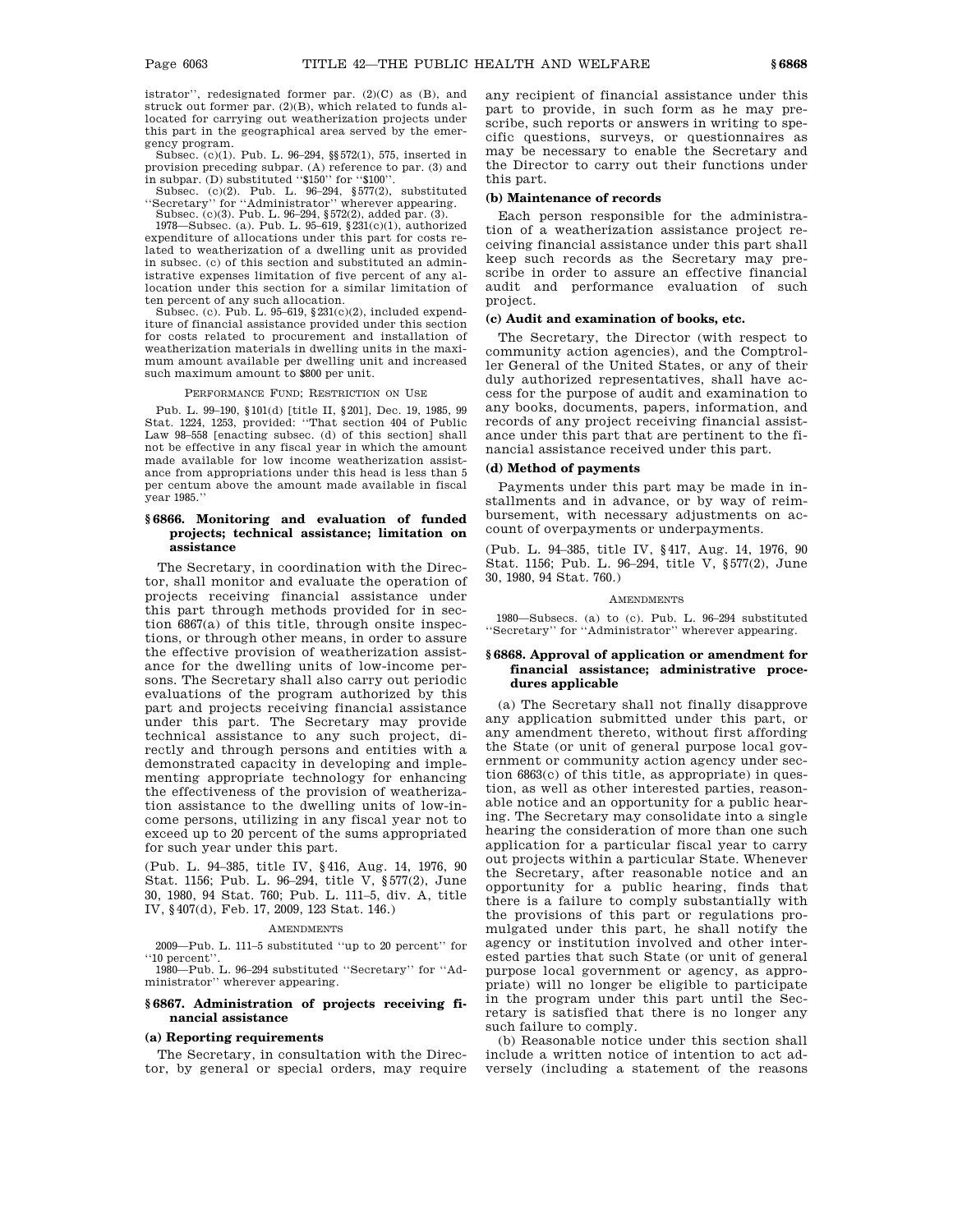istrator'', redesignated former par. (2)(C) as (B), and struck out former par. (2)(B), which related to funds allocated for carrying out weatherization projects under this part in the geographical area served by the emergency program.

Subsec. (c)(1). Pub. L. 96–294, §§572(1), 575, inserted in provision preceding subpar. (A) reference to par. (3) and in subpar. (D) substituted ''\$150'' for ''\$100''.

Subsec. (c)(2). Pub. L. 96–294, §577(2), substituted ''Secretary'' for ''Administrator'' wherever appearing. Subsec. (c)(3). Pub. L. 96–294, §572(2), added par. (3). 1978—Subsec. (a). Pub. L. 95–619, §231(c)(1), authorized

expenditure of allocations under this part for costs related to weatherization of a dwelling unit as provided in subsec. (c) of this section and substituted an administrative expenses limitation of five percent of any allocation under this section for a similar limitation of ten percent of any such allocation.

Subsec. (c). Pub. L. 95–619, §231(c)(2), included expenditure of financial assistance provided under this section for costs related to procurement and installation of weatherization materials in dwelling units in the maximum amount available per dwelling unit and increased such maximum amount to \$800 per unit.

### PERFORMANCE FUND; RESTRICTION ON USE

Pub. L. 99–190, §101(d) [title II, §201], Dec. 19, 1985, 99 Stat. 1224, 1253, provided: ''That section 404 of Public Law 98–558 [enacting subsec. (d) of this section] shall not be effective in any fiscal year in which the amount made available for low income weatherization assistance from appropriations under this head is less than 5 per centum above the amount made available in fiscal year 1985.''

## **§ 6866. Monitoring and evaluation of funded projects; technical assistance; limitation on assistance**

The Secretary, in coordination with the Director, shall monitor and evaluate the operation of projects receiving financial assistance under this part through methods provided for in section 6867(a) of this title, through onsite inspections, or through other means, in order to assure the effective provision of weatherization assistance for the dwelling units of low-income persons. The Secretary shall also carry out periodic evaluations of the program authorized by this part and projects receiving financial assistance under this part. The Secretary may provide technical assistance to any such project, directly and through persons and entities with a demonstrated capacity in developing and implementing appropriate technology for enhancing the effectiveness of the provision of weatherization assistance to the dwelling units of low-income persons, utilizing in any fiscal year not to exceed up to 20 percent of the sums appropriated for such year under this part.

(Pub. L. 94–385, title IV, §416, Aug. 14, 1976, 90 Stat. 1156; Pub. L. 96–294, title V, §577(2), June 30, 1980, 94 Stat. 760; Pub. L. 111–5, div. A, title IV, §407(d), Feb. 17, 2009, 123 Stat. 146.)

#### AMENDMENTS

2009—Pub. L. 111–5 substituted ''up to 20 percent'' for ''10 percent''.

1980—Pub. L. 96–294 substituted ''Secretary'' for ''Administrator'' wherever appearing.

### **§ 6867. Administration of projects receiving financial assistance**

### **(a) Reporting requirements**

The Secretary, in consultation with the Director, by general or special orders, may require any recipient of financial assistance under this part to provide, in such form as he may prescribe, such reports or answers in writing to specific questions, surveys, or questionnaires as may be necessary to enable the Secretary and the Director to carry out their functions under this part.

## **(b) Maintenance of records**

Each person responsible for the administration of a weatherization assistance project receiving financial assistance under this part shall keep such records as the Secretary may prescribe in order to assure an effective financial audit and performance evaluation of such project.

## **(c) Audit and examination of books, etc.**

The Secretary, the Director (with respect to community action agencies), and the Comptroller General of the United States, or any of their duly authorized representatives, shall have access for the purpose of audit and examination to any books, documents, papers, information, and records of any project receiving financial assistance under this part that are pertinent to the financial assistance received under this part.

### **(d) Method of payments**

Payments under this part may be made in installments and in advance, or by way of reimbursement, with necessary adjustments on account of overpayments or underpayments.

(Pub. L. 94–385, title IV, §417, Aug. 14, 1976, 90 Stat. 1156; Pub. L. 96–294, title V, §577(2), June 30, 1980, 94 Stat. 760.)

#### **AMENDMENTS**

1980—Subsecs. (a) to (c). Pub. L. 96–294 substituted ''Secretary'' for ''Administrator'' wherever appearing.

## **§ 6868. Approval of application or amendment for financial assistance; administrative procedures applicable**

(a) The Secretary shall not finally disapprove any application submitted under this part, or any amendment thereto, without first affording the State (or unit of general purpose local government or community action agency under section 6863(c) of this title, as appropriate) in question, as well as other interested parties, reasonable notice and an opportunity for a public hearing. The Secretary may consolidate into a single hearing the consideration of more than one such application for a particular fiscal year to carry out projects within a particular State. Whenever the Secretary, after reasonable notice and an opportunity for a public hearing, finds that there is a failure to comply substantially with the provisions of this part or regulations promulgated under this part, he shall notify the agency or institution involved and other interested parties that such State (or unit of general purpose local government or agency, as appropriate) will no longer be eligible to participate in the program under this part until the Secretary is satisfied that there is no longer any such failure to comply.

(b) Reasonable notice under this section shall include a written notice of intention to act adversely (including a statement of the reasons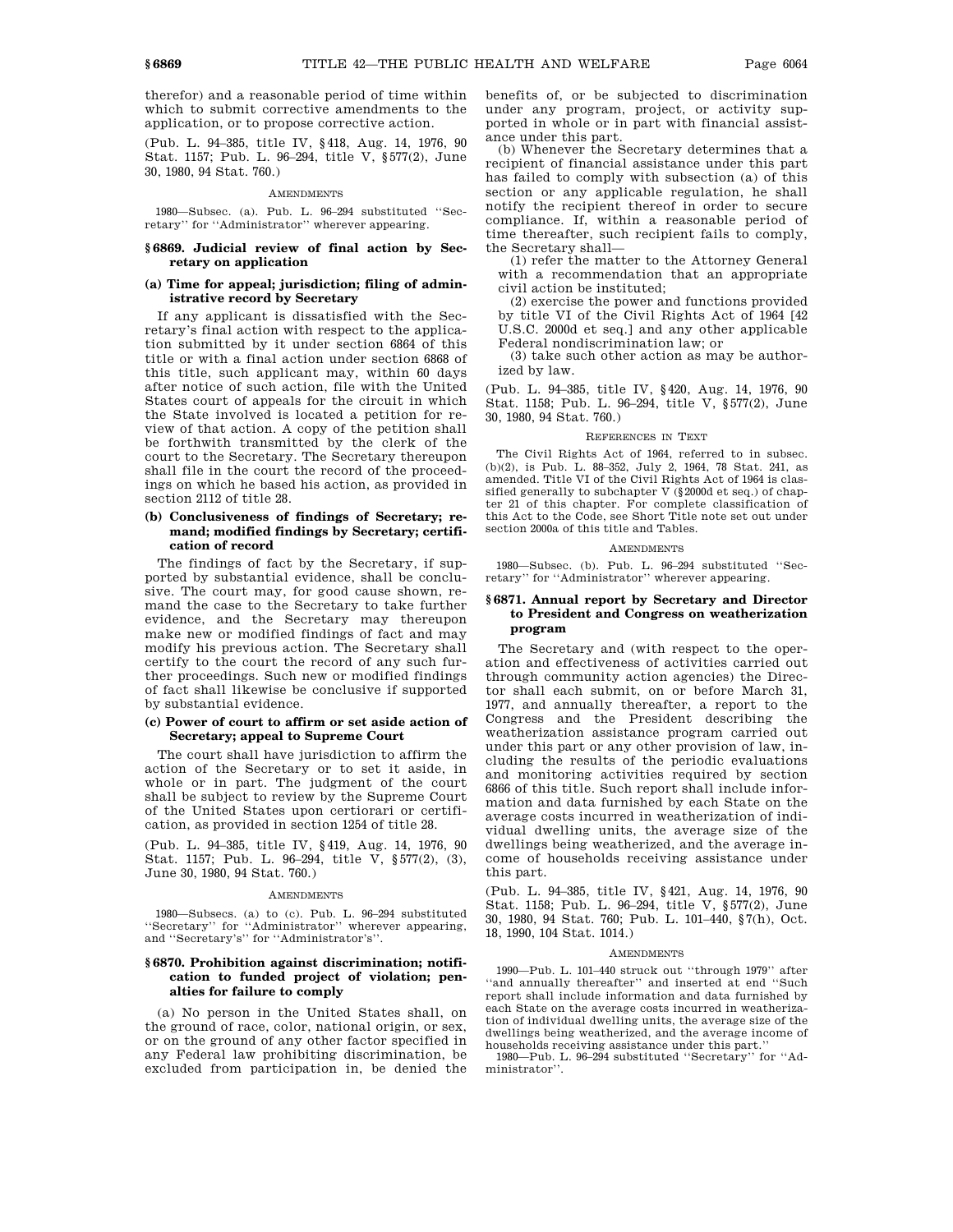therefor) and a reasonable period of time within which to submit corrective amendments to the application, or to propose corrective action.

(Pub. L. 94–385, title IV, §418, Aug. 14, 1976, 90 Stat. 1157; Pub. L. 96–294, title V, §577(2), June 30, 1980, 94 Stat. 760.)

### AMENDMENTS

1980—Subsec. (a). Pub. L. 96–294 substituted ''Secretary'' for ''Administrator'' wherever appearing.

## **§ 6869. Judicial review of final action by Secretary on application**

# **(a) Time for appeal; jurisdiction; filing of administrative record by Secretary**

If any applicant is dissatisfied with the Secretary's final action with respect to the application submitted by it under section 6864 of this title or with a final action under section 6868 of this title, such applicant may, within 60 days after notice of such action, file with the United States court of appeals for the circuit in which the State involved is located a petition for review of that action. A copy of the petition shall be forthwith transmitted by the clerk of the court to the Secretary. The Secretary thereupon shall file in the court the record of the proceedings on which he based his action, as provided in section 2112 of title 28.

## **(b) Conclusiveness of findings of Secretary; remand; modified findings by Secretary; certification of record**

The findings of fact by the Secretary, if supported by substantial evidence, shall be conclusive. The court may, for good cause shown, remand the case to the Secretary to take further evidence, and the Secretary may thereupon make new or modified findings of fact and may modify his previous action. The Secretary shall certify to the court the record of any such further proceedings. Such new or modified findings of fact shall likewise be conclusive if supported by substantial evidence.

# **(c) Power of court to affirm or set aside action of Secretary; appeal to Supreme Court**

The court shall have jurisdiction to affirm the action of the Secretary or to set it aside, in whole or in part. The judgment of the court shall be subject to review by the Supreme Court of the United States upon certiorari or certification, as provided in section 1254 of title 28.

(Pub. L. 94–385, title IV, §419, Aug. 14, 1976, 90 Stat. 1157; Pub. L. 96–294, title V, §577(2), (3), June 30, 1980, 94 Stat. 760.)

# AMENDMENTS

1980—Subsecs. (a) to (c). Pub. L. 96–294 substituted ''Secretary'' for ''Administrator'' wherever appearing, and ''Secretary's'' for ''Administrator's''.

## **§ 6870. Prohibition against discrimination; notification to funded project of violation; penalties for failure to comply**

(a) No person in the United States shall, on the ground of race, color, national origin, or sex, or on the ground of any other factor specified in any Federal law prohibiting discrimination, be excluded from participation in, be denied the

benefits of, or be subjected to discrimination under any program, project, or activity supported in whole or in part with financial assistance under this part.

(b) Whenever the Secretary determines that a recipient of financial assistance under this part has failed to comply with subsection (a) of this section or any applicable regulation, he shall notify the recipient thereof in order to secure compliance. If, within a reasonable period of time thereafter, such recipient fails to comply, the Secretary shall—

(1) refer the matter to the Attorney General with a recommendation that an appropriate civil action be instituted;

(2) exercise the power and functions provided by title VI of the Civil Rights Act of 1964 [42 U.S.C. 2000d et seq.] and any other applicable Federal nondiscrimination law; or

(3) take such other action as may be authorized by law.

(Pub. L. 94–385, title IV, §420, Aug. 14, 1976, 90 Stat. 1158; Pub. L. 96–294, title V, §577(2), June 30, 1980, 94 Stat. 760.)

#### REFERENCES IN TEXT

The Civil Rights Act of 1964, referred to in subsec. (b)(2), is Pub. L. 88–352, July 2, 1964, 78 Stat. 241, as amended. Title VI of the Civil Rights Act of 1964 is classified generally to subchapter V (§2000d et seq.) of chapter 21 of this chapter. For complete classification of this Act to the Code, see Short Title note set out under section 2000a of this title and Tables.

#### AMENDMENTS

1980—Subsec. (b). Pub. L. 96–294 substituted ''Secretary'' for ''Administrator'' wherever appearing.

## **§ 6871. Annual report by Secretary and Director to President and Congress on weatherization program**

The Secretary and (with respect to the operation and effectiveness of activities carried out through community action agencies) the Director shall each submit, on or before March 31, 1977, and annually thereafter, a report to the Congress and the President describing the weatherization assistance program carried out under this part or any other provision of law, including the results of the periodic evaluations and monitoring activities required by section 6866 of this title. Such report shall include information and data furnished by each State on the average costs incurred in weatherization of individual dwelling units, the average size of the dwellings being weatherized, and the average income of households receiving assistance under this part.

(Pub. L. 94–385, title IV, §421, Aug. 14, 1976, 90 Stat. 1158; Pub. L. 96–294, title V, §577(2), June 30, 1980, 94 Stat. 760; Pub. L. 101–440, §7(h), Oct. 18, 1990, 104 Stat. 1014.)

### **AMENDMENTS**

1990—Pub. L. 101–440 struck out ''through 1979'' after ''and annually thereafter'' and inserted at end ''Such report shall include information and data furnished by each State on the average costs incurred in weatherization of individual dwelling units, the average size of the dwellings being weatherized, and the average income of

households receiving assistance under this part.'' 1980—Pub. L. 96–294 substituted ''Secretary'' for ''Administrator''.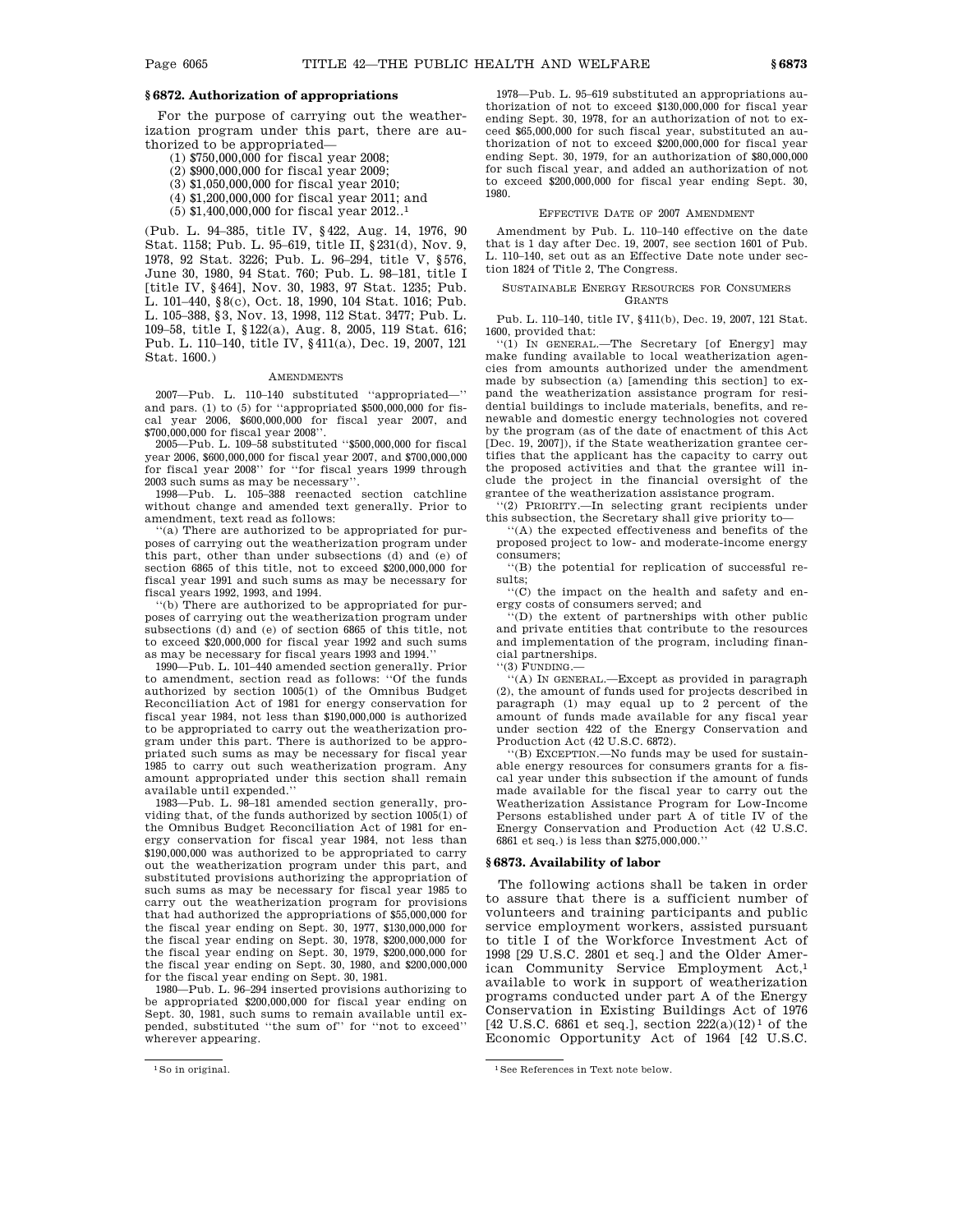# **§ 6872. Authorization of appropriations**

For the purpose of carrying out the weatherization program under this part, there are authorized to be appropriated—

- (1) \$750,000,000 for fiscal year 2008;
- (2) \$900,000,000 for fiscal year 2009;
- (3) \$1,050,000,000 for fiscal year 2010;
- (4) \$1,200,000,000 for fiscal year 2011; and
- (5) \$1,400,000,000 for fiscal year 2012..1

(Pub. L. 94–385, title IV, §422, Aug. 14, 1976, 90 Stat. 1158; Pub. L. 95–619, title II, §231(d), Nov. 9, 1978, 92 Stat. 3226; Pub. L. 96–294, title V, §576, June 30, 1980, 94 Stat. 760; Pub. L. 98–181, title I [title IV, §464], Nov. 30, 1983, 97 Stat. 1235; Pub. L. 101–440, §8(c), Oct. 18, 1990, 104 Stat. 1016; Pub. L. 105–388, §3, Nov. 13, 1998, 112 Stat. 3477; Pub. L. 109–58, title I, §122(a), Aug. 8, 2005, 119 Stat. 616; Pub. L. 110–140, title IV, §411(a), Dec. 19, 2007, 121 Stat. 1600.)

### **AMENDMENTS**

2007—Pub. L. 110–140 substituted ''appropriated—'' and pars. (1) to (5) for ''appropriated \$500,000,000 for fiscal year 2006, \$600,000,000 for fiscal year 2007, and \$700,000,000 for fiscal year 2008''.

2005—Pub. L. 109–58 substituted ''\$500,000,000 for fiscal year 2006, \$600,000,000 for fiscal year 2007, and \$700,000,000 for fiscal year 2008'' for ''for fiscal years 1999 through 2003 such sums as may be necessary''.

1998—Pub. L. 105–388 reenacted section catchline without change and amended text generally. Prior to amendment, text read as follows:

''(a) There are authorized to be appropriated for purposes of carrying out the weatherization program under this part, other than under subsections (d) and (e) of section 6865 of this title, not to exceed \$200,000,000 for fiscal year 1991 and such sums as may be necessary for fiscal years 1992, 1993, and 1994.

''(b) There are authorized to be appropriated for purposes of carrying out the weatherization program under subsections (d) and (e) of section 6865 of this title, not to exceed \$20,000,000 for fiscal year 1992 and such sums as may be necessary for fiscal years 1993 and 1994.''

1990—Pub. L. 101–440 amended section generally. Prior to amendment, section read as follows: ''Of the funds authorized by section 1005(1) of the Omnibus Budget Reconciliation Act of 1981 for energy conservation for fiscal year 1984, not less than \$190,000,000 is authorized to be appropriated to carry out the weatherization program under this part. There is authorized to be appropriated such sums as may be necessary for fiscal year 1985 to carry out such weatherization program. Any amount appropriated under this section shall remain available until expended.''

1983—Pub. L. 98–181 amended section generally, providing that, of the funds authorized by section 1005(1) of the Omnibus Budget Reconciliation Act of 1981 for energy conservation for fiscal year 1984, not less than \$190,000,000 was authorized to be appropriated to carry out the weatherization program under this part, and substituted provisions authorizing the appropriation of such sums as may be necessary for fiscal year 1985 to carry out the weatherization program for provisions that had authorized the appropriations of \$55,000,000 for the fiscal year ending on Sept. 30, 1977, \$130,000,000 for the fiscal year ending on Sept. 30, 1978, \$200,000,000 for the fiscal year ending on Sept. 30, 1979, \$200,000,000 for the fiscal year ending on Sept. 30, 1980, and \$200,000,000 for the fiscal year ending on Sept. 30, 1981.

1980—Pub. L. 96–294 inserted provisions authorizing to be appropriated \$200,000,000 for fiscal year ending on Sept. 30, 1981, such sums to remain available until expended, substituted ''the sum of'' for ''not to exceed'' wherever appearing.

1978—Pub. L. 95–619 substituted an appropriations authorization of not to exceed \$130,000,000 for fiscal year ending Sept. 30, 1978, for an authorization of not to exceed \$65,000,000 for such fiscal year, substituted an authorization of not to exceed \$200,000,000 for fiscal year ending Sept. 30, 1979, for an authorization of \$80,000,000 for such fiscal year, and added an authorization of not to exceed \$200,000,000 for fiscal year ending Sept. 30, 1980.

# EFFECTIVE DATE OF 2007 AMENDMENT

Amendment by Pub. L. 110–140 effective on the date that is 1 day after Dec. 19, 2007, see section 1601 of Pub. L. 110–140, set out as an Effective Date note under section 1824 of Title 2, The Congress.

#### SUSTAINABLE ENERGY RESOURCES FOR CONSUMERS GRANTS

Pub. L. 110–140, title IV, §411(b), Dec. 19, 2007, 121 Stat. 1600, provided that:<br> $(1)$  IN GENERAL.

-The Secretary [of Energy] may make funding available to local weatherization agencies from amounts authorized under the amendment made by subsection (a) [amending this section] to expand the weatherization assistance program for residential buildings to include materials, benefits, and renewable and domestic energy technologies not covered by the program (as of the date of enactment of this Act [Dec. 19, 2007]), if the State weatherization grantee certifies that the applicant has the capacity to carry out the proposed activities and that the grantee will include the project in the financial oversight of the grantee of the weatherization assistance program.

'(2) PRIORITY.—In selecting grant recipients under this subsection, the Secretary shall give priority to—

''(A) the expected effectiveness and benefits of the proposed project to low- and moderate-income energy consumers;

''(B) the potential for replication of successful results;

''(C) the impact on the health and safety and energy costs of consumers served; and

 $\widetilde{f}(D)$  the extent of partnerships with other public and private entities that contribute to the resources and implementation of the program, including financial partnerships.

''(3) FUNDING.—

''(A) IN GENERAL.—Except as provided in paragraph (2), the amount of funds used for projects described in paragraph (1) may equal up to 2 percent of the amount of funds made available for any fiscal year under section 422 of the Energy Conservation and Production Act (42 U.S.C. 6872).

''(B) EXCEPTION.—No funds may be used for sustainable energy resources for consumers grants for a fiscal year under this subsection if the amount of funds made available for the fiscal year to carry out the Weatherization Assistance Program for Low-Income Persons established under part A of title IV of the Energy Conservation and Production Act (42 U.S.C. 6861 et seq.) is less than \$275,000,000.''

## **§ 6873. Availability of labor**

The following actions shall be taken in order to assure that there is a sufficient number of volunteers and training participants and public service employment workers, assisted pursuant to title I of the Workforce Investment Act of 1998 [29 U.S.C. 2801 et seq.] and the Older American Community Service Employment Act,1 available to work in support of weatherization programs conducted under part A of the Energy Conservation in Existing Buildings Act of 1976  $\left[42\,$  U.S.C. 6861 et seq.], section  $222(a)(12)^{\,1}$  of the Economic Opportunity Act of 1964 [42 U.S.C.

<sup>&</sup>lt;sup>1</sup>So in original. 1So in original.